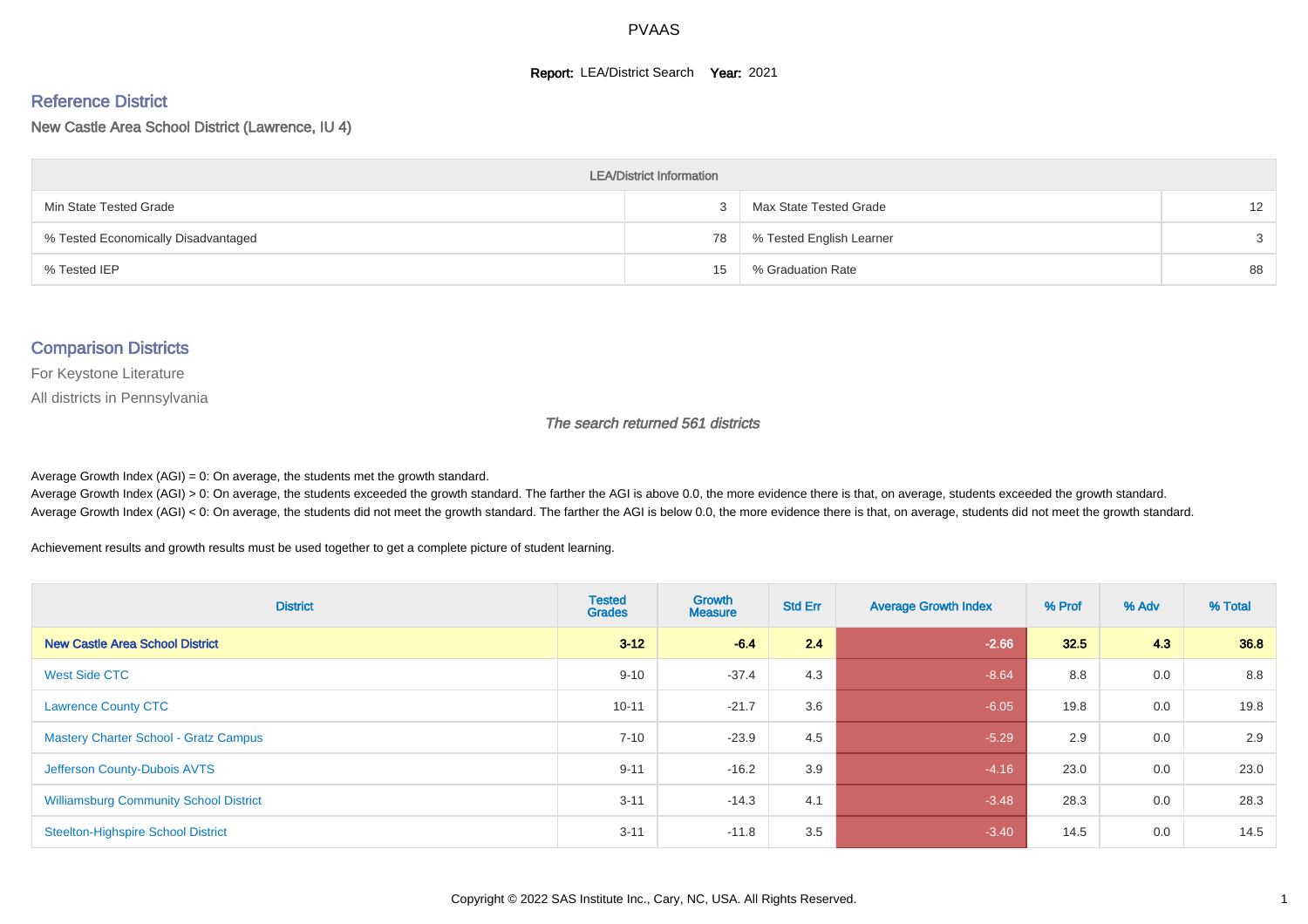#### **Report: LEA/District Search Year: 2021**

#### Reference District

New Castle Area School District (Lawrence, IU 4)

| <b>LEA/District Information</b>     |    |                          |                   |  |  |  |  |  |  |  |
|-------------------------------------|----|--------------------------|-------------------|--|--|--|--|--|--|--|
| Min State Tested Grade              |    | Max State Tested Grade   | $12 \overline{ }$ |  |  |  |  |  |  |  |
| % Tested Economically Disadvantaged | 78 | % Tested English Learner | 3                 |  |  |  |  |  |  |  |
| % Tested IEP                        | 15 | % Graduation Rate        | 88                |  |  |  |  |  |  |  |

#### Comparison Districts

For Keystone Literature

All districts in Pennsylvania

The search returned 561 districts

Average Growth Index  $(AGI) = 0$ : On average, the students met the growth standard.

Average Growth Index (AGI) > 0: On average, the students exceeded the growth standard. The farther the AGI is above 0.0, the more evidence there is that, on average, students exceeded the growth standard. Average Growth Index (AGI) < 0: On average, the students did not meet the growth standard. The farther the AGI is below 0.0, the more evidence there is that, on average, students did not meet the growth standard.

Achievement results and growth results must be used together to get a complete picture of student learning.

| <b>District</b>                               | <b>Tested</b><br><b>Grades</b> | Growth<br><b>Measure</b> | <b>Std Err</b> | <b>Average Growth Index</b> | % Prof | % Adv | % Total |
|-----------------------------------------------|--------------------------------|--------------------------|----------------|-----------------------------|--------|-------|---------|
| <b>New Castle Area School District</b>        | $3 - 12$                       | $-6.4$                   | 2.4            | $-2.66$                     | 32.5   | 4.3   | 36.8    |
| West Side CTC                                 | $9 - 10$                       | $-37.4$                  | 4.3            | $-8.64$                     | 8.8    | 0.0   | 8.8     |
| <b>Lawrence County CTC</b>                    | $10 - 11$                      | $-21.7$                  | 3.6            | $-6.05$                     | 19.8   | 0.0   | 19.8    |
| <b>Mastery Charter School - Gratz Campus</b>  | $7 - 10$                       | $-23.9$                  | 4.5            | $-5.29$                     | 2.9    | 0.0   | 2.9     |
| Jefferson County-Dubois AVTS                  | $9 - 11$                       | $-16.2$                  | 3.9            | $-4.16$                     | 23.0   | 0.0   | 23.0    |
| <b>Williamsburg Community School District</b> | $3 - 11$                       | $-14.3$                  | 4.1            | $-3.48$                     | 28.3   | 0.0   | 28.3    |
| <b>Steelton-Highspire School District</b>     | $3 - 11$                       | $-11.8$                  | 3.5            | $-3.40$                     | 14.5   | 0.0   | 14.5    |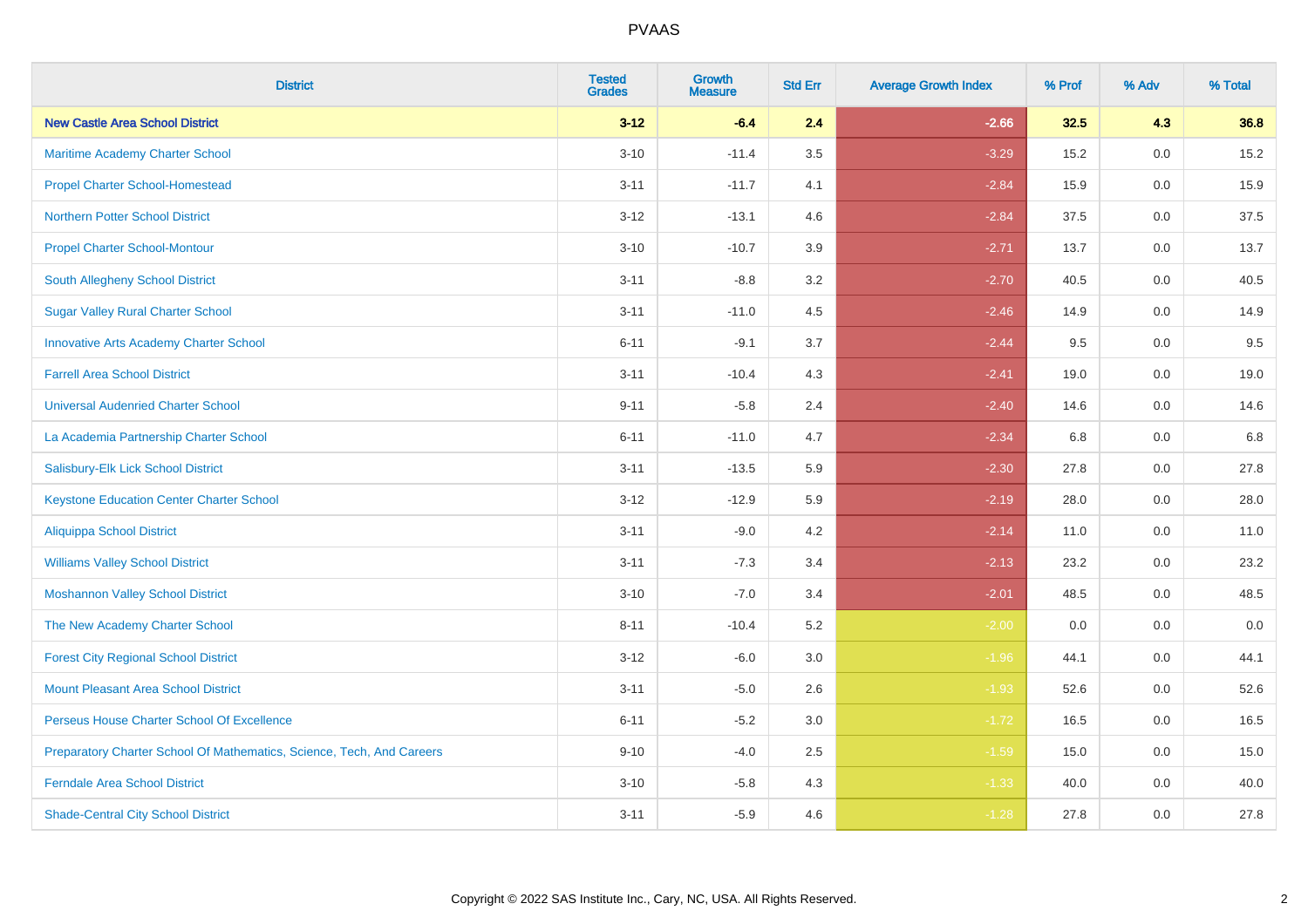| <b>District</b>                                                       | <b>Tested</b><br><b>Grades</b> | <b>Growth</b><br><b>Measure</b> | <b>Std Err</b> | <b>Average Growth Index</b> | % Prof | % Adv   | % Total |
|-----------------------------------------------------------------------|--------------------------------|---------------------------------|----------------|-----------------------------|--------|---------|---------|
| <b>New Castle Area School District</b>                                | $3 - 12$                       | $-6.4$                          | 2.4            | $-2.66$                     | 32.5   | 4.3     | 36.8    |
| Maritime Academy Charter School                                       | $3 - 10$                       | $-11.4$                         | $3.5\,$        | $-3.29$                     | 15.2   | 0.0     | 15.2    |
| <b>Propel Charter School-Homestead</b>                                | $3 - 11$                       | $-11.7$                         | 4.1            | $-2.84$                     | 15.9   | 0.0     | 15.9    |
| <b>Northern Potter School District</b>                                | $3 - 12$                       | $-13.1$                         | 4.6            | $-2.84$                     | 37.5   | 0.0     | 37.5    |
| <b>Propel Charter School-Montour</b>                                  | $3 - 10$                       | $-10.7$                         | 3.9            | $-2.71$                     | 13.7   | 0.0     | 13.7    |
| South Allegheny School District                                       | $3 - 11$                       | $-8.8$                          | 3.2            | $-2.70$                     | 40.5   | 0.0     | 40.5    |
| <b>Sugar Valley Rural Charter School</b>                              | $3 - 11$                       | $-11.0$                         | 4.5            | $-2.46$                     | 14.9   | 0.0     | 14.9    |
| <b>Innovative Arts Academy Charter School</b>                         | $6 - 11$                       | $-9.1$                          | 3.7            | $-2.44$                     | 9.5    | 0.0     | 9.5     |
| <b>Farrell Area School District</b>                                   | $3 - 11$                       | $-10.4$                         | 4.3            | $-2.41$                     | 19.0   | 0.0     | 19.0    |
| <b>Universal Audenried Charter School</b>                             | $9 - 11$                       | $-5.8$                          | 2.4            | $-2.40$                     | 14.6   | 0.0     | 14.6    |
| La Academia Partnership Charter School                                | $6 - 11$                       | $-11.0$                         | 4.7            | $-2.34$                     | 6.8    | 0.0     | 6.8     |
| Salisbury-Elk Lick School District                                    | $3 - 11$                       | $-13.5$                         | 5.9            | $-2.30$                     | 27.8   | 0.0     | 27.8    |
| <b>Keystone Education Center Charter School</b>                       | $3-12$                         | $-12.9$                         | 5.9            | $-2.19$                     | 28.0   | 0.0     | 28.0    |
| <b>Aliquippa School District</b>                                      | $3 - 11$                       | $-9.0$                          | 4.2            | $-2.14$                     | 11.0   | 0.0     | 11.0    |
| <b>Williams Valley School District</b>                                | $3 - 11$                       | $-7.3$                          | 3.4            | $-2.13$                     | 23.2   | 0.0     | 23.2    |
| <b>Moshannon Valley School District</b>                               | $3 - 10$                       | $-7.0$                          | 3.4            | $-2.01$                     | 48.5   | $0.0\,$ | 48.5    |
| The New Academy Charter School                                        | $8 - 11$                       | $-10.4$                         | 5.2            | $-2.00$                     | 0.0    | 0.0     | 0.0     |
| <b>Forest City Regional School District</b>                           | $3 - 12$                       | $-6.0$                          | 3.0            | $-1.96$                     | 44.1   | 0.0     | 44.1    |
| <b>Mount Pleasant Area School District</b>                            | $3 - 11$                       | $-5.0$                          | 2.6            | $-1.93$                     | 52.6   | 0.0     | 52.6    |
| Perseus House Charter School Of Excellence                            | $6 - 11$                       | $-5.2$                          | 3.0            | $-1.72$                     | 16.5   | 0.0     | 16.5    |
| Preparatory Charter School Of Mathematics, Science, Tech, And Careers | $9 - 10$                       | $-4.0$                          | 2.5            | $-1.59$                     | 15.0   | 0.0     | 15.0    |
| <b>Ferndale Area School District</b>                                  | $3 - 10$                       | $-5.8$                          | 4.3            | $-1.33$                     | 40.0   | 0.0     | 40.0    |
| <b>Shade-Central City School District</b>                             | $3 - 11$                       | $-5.9$                          | 4.6            | $-1.28$                     | 27.8   | 0.0     | 27.8    |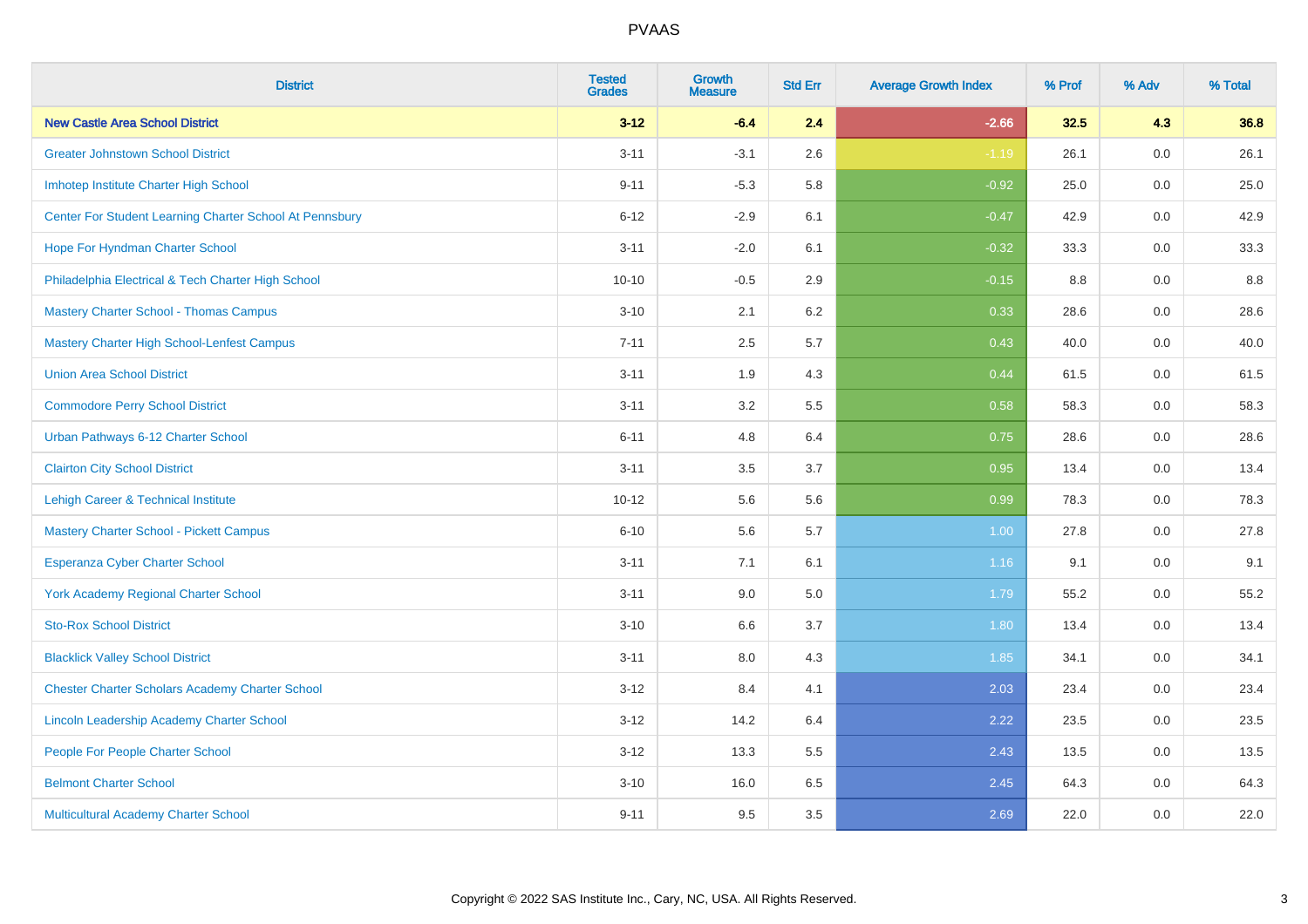| <b>District</b>                                         | <b>Tested</b><br><b>Grades</b> | <b>Growth</b><br><b>Measure</b> | <b>Std Err</b> | <b>Average Growth Index</b> | % Prof | % Adv   | % Total |
|---------------------------------------------------------|--------------------------------|---------------------------------|----------------|-----------------------------|--------|---------|---------|
| <b>New Castle Area School District</b>                  | $3 - 12$                       | $-6.4$                          | 2.4            | $-2.66$                     | 32.5   | 4.3     | 36.8    |
| <b>Greater Johnstown School District</b>                | $3 - 11$                       | $-3.1$                          | 2.6            | $-1.19$                     | 26.1   | $0.0\,$ | 26.1    |
| Imhotep Institute Charter High School                   | $9 - 11$                       | $-5.3$                          | 5.8            | $-0.92$                     | 25.0   | 0.0     | 25.0    |
| Center For Student Learning Charter School At Pennsbury | $6 - 12$                       | $-2.9$                          | 6.1            | $-0.47$                     | 42.9   | 0.0     | 42.9    |
| Hope For Hyndman Charter School                         | $3 - 11$                       | $-2.0$                          | 6.1            | $-0.32$                     | 33.3   | 0.0     | 33.3    |
| Philadelphia Electrical & Tech Charter High School      | $10 - 10$                      | $-0.5$                          | 2.9            | $-0.15$                     | 8.8    | 0.0     | 8.8     |
| <b>Mastery Charter School - Thomas Campus</b>           | $3 - 10$                       | 2.1                             | 6.2            | 0.33                        | 28.6   | 0.0     | 28.6    |
| <b>Mastery Charter High School-Lenfest Campus</b>       | $7 - 11$                       | 2.5                             | 5.7            | 0.43                        | 40.0   | 0.0     | 40.0    |
| <b>Union Area School District</b>                       | $3 - 11$                       | 1.9                             | 4.3            | 0.44                        | 61.5   | 0.0     | 61.5    |
| <b>Commodore Perry School District</b>                  | $3 - 11$                       | 3.2                             | 5.5            | 0.58                        | 58.3   | 0.0     | 58.3    |
| Urban Pathways 6-12 Charter School                      | $6 - 11$                       | 4.8                             | 6.4            | 0.75                        | 28.6   | 0.0     | 28.6    |
| <b>Clairton City School District</b>                    | $3 - 11$                       | 3.5                             | 3.7            | 0.95                        | 13.4   | 0.0     | 13.4    |
| Lehigh Career & Technical Institute                     | $10 - 12$                      | 5.6                             | 5.6            | 0.99                        | 78.3   | 0.0     | 78.3    |
| <b>Mastery Charter School - Pickett Campus</b>          | $6 - 10$                       | 5.6                             | 5.7            | 1.00                        | 27.8   | 0.0     | 27.8    |
| <b>Esperanza Cyber Charter School</b>                   | $3 - 11$                       | 7.1                             | 6.1            | 1.16                        | 9.1    | 0.0     | 9.1     |
| <b>York Academy Regional Charter School</b>             | $3 - 11$                       | 9.0                             | 5.0            | 1.79                        | 55.2   | $0.0\,$ | 55.2    |
| <b>Sto-Rox School District</b>                          | $3 - 10$                       | 6.6                             | 3.7            | 1.80                        | 13.4   | 0.0     | 13.4    |
| <b>Blacklick Valley School District</b>                 | $3 - 11$                       | 8.0                             | 4.3            | 1.85                        | 34.1   | 0.0     | 34.1    |
| <b>Chester Charter Scholars Academy Charter School</b>  | $3 - 12$                       | 8.4                             | 4.1            | 2.03                        | 23.4   | 0.0     | 23.4    |
| Lincoln Leadership Academy Charter School               | $3 - 12$                       | 14.2                            | 6.4            | 2.22                        | 23.5   | 0.0     | 23.5    |
| People For People Charter School                        | $3 - 12$                       | 13.3                            | 5.5            | 2.43                        | 13.5   | 0.0     | 13.5    |
| <b>Belmont Charter School</b>                           | $3 - 10$                       | 16.0                            | 6.5            | 2.45                        | 64.3   | 0.0     | 64.3    |
| Multicultural Academy Charter School                    | $9 - 11$                       | 9.5                             | 3.5            | 2.69                        | 22.0   | 0.0     | 22.0    |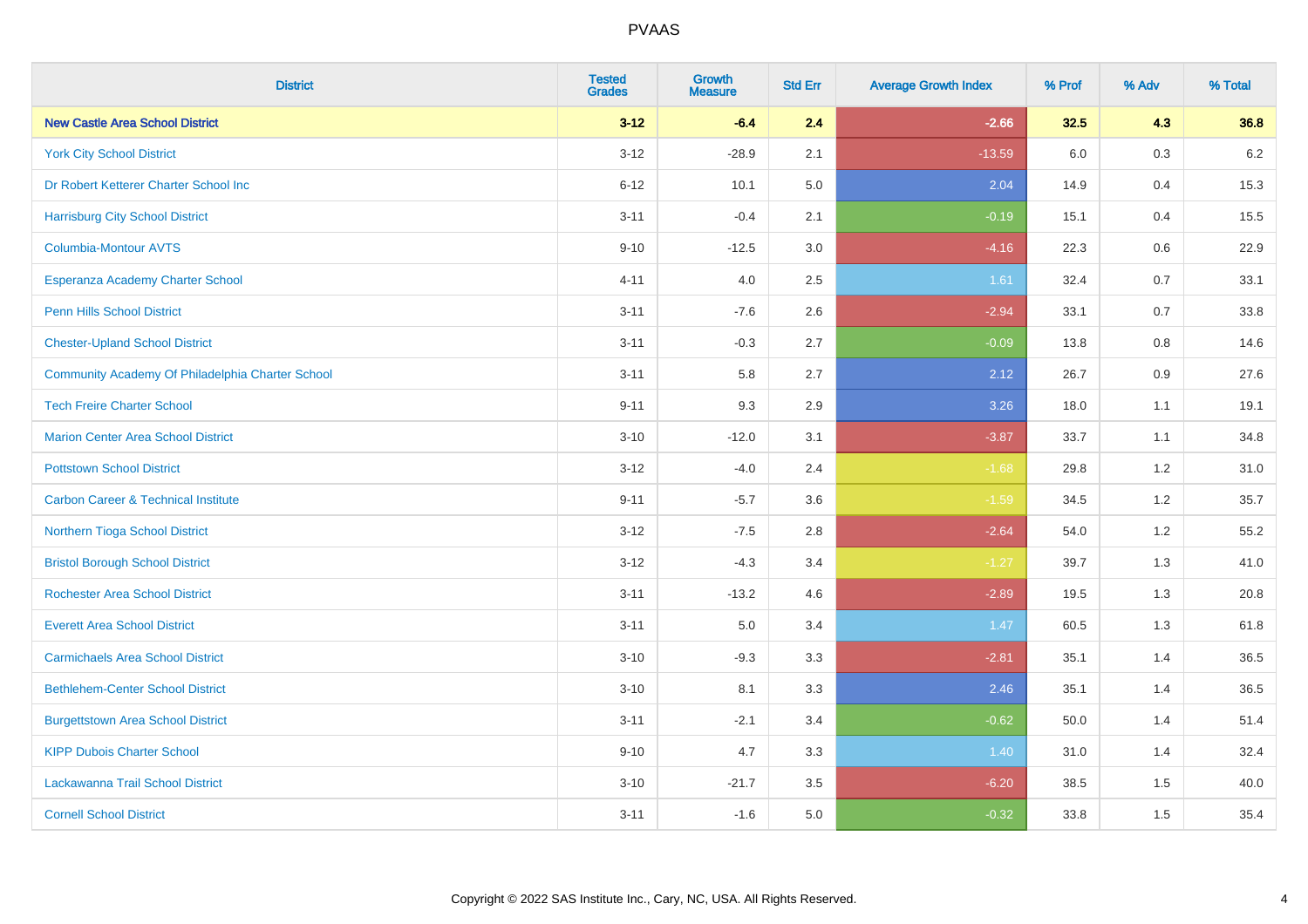| <b>District</b>                                  | <b>Tested</b><br><b>Grades</b> | <b>Growth</b><br><b>Measure</b> | <b>Std Err</b> | <b>Average Growth Index</b> | % Prof | % Adv | % Total |
|--------------------------------------------------|--------------------------------|---------------------------------|----------------|-----------------------------|--------|-------|---------|
| <b>New Castle Area School District</b>           | $3 - 12$                       | $-6.4$                          | 2.4            | $-2.66$                     | 32.5   | 4.3   | 36.8    |
| <b>York City School District</b>                 | $3 - 12$                       | $-28.9$                         | 2.1            | $-13.59$                    | 6.0    | 0.3   | $6.2\,$ |
| Dr Robert Ketterer Charter School Inc            | $6 - 12$                       | 10.1                            | 5.0            | 2.04                        | 14.9   | 0.4   | 15.3    |
| <b>Harrisburg City School District</b>           | $3 - 11$                       | $-0.4$                          | 2.1            | $-0.19$                     | 15.1   | 0.4   | 15.5    |
| <b>Columbia-Montour AVTS</b>                     | $9 - 10$                       | $-12.5$                         | 3.0            | $-4.16$                     | 22.3   | 0.6   | 22.9    |
| Esperanza Academy Charter School                 | $4 - 11$                       | 4.0                             | 2.5            | 1.61                        | 32.4   | 0.7   | 33.1    |
| Penn Hills School District                       | $3 - 11$                       | $-7.6$                          | 2.6            | $-2.94$                     | 33.1   | 0.7   | 33.8    |
| <b>Chester-Upland School District</b>            | $3 - 11$                       | $-0.3$                          | 2.7            | $-0.09$                     | 13.8   | 0.8   | 14.6    |
| Community Academy Of Philadelphia Charter School | $3 - 11$                       | 5.8                             | 2.7            | 2.12                        | 26.7   | 0.9   | 27.6    |
| <b>Tech Freire Charter School</b>                | $9 - 11$                       | 9.3                             | 2.9            | 3.26                        | 18.0   | 1.1   | 19.1    |
| <b>Marion Center Area School District</b>        | $3 - 10$                       | $-12.0$                         | 3.1            | $-3.87$                     | 33.7   | 1.1   | 34.8    |
| <b>Pottstown School District</b>                 | $3 - 12$                       | $-4.0$                          | 2.4            | $-1.68$                     | 29.8   | 1.2   | 31.0    |
| <b>Carbon Career &amp; Technical Institute</b>   | $9 - 11$                       | $-5.7$                          | 3.6            | $-1.59$                     | 34.5   | 1.2   | 35.7    |
| Northern Tioga School District                   | $3 - 12$                       | $-7.5$                          | 2.8            | $-2.64$                     | 54.0   | 1.2   | 55.2    |
| <b>Bristol Borough School District</b>           | $3 - 12$                       | $-4.3$                          | 3.4            | $-1.27$                     | 39.7   | 1.3   | 41.0    |
| <b>Rochester Area School District</b>            | $3 - 11$                       | $-13.2$                         | 4.6            | $-2.89$                     | 19.5   | 1.3   | 20.8    |
| <b>Everett Area School District</b>              | $3 - 11$                       | 5.0                             | 3.4            | 1.47                        | 60.5   | 1.3   | 61.8    |
| <b>Carmichaels Area School District</b>          | $3 - 10$                       | $-9.3$                          | 3.3            | $-2.81$                     | 35.1   | 1.4   | 36.5    |
| <b>Bethlehem-Center School District</b>          | $3 - 10$                       | 8.1                             | 3.3            | 2.46                        | 35.1   | 1.4   | 36.5    |
| <b>Burgettstown Area School District</b>         | $3 - 11$                       | $-2.1$                          | 3.4            | $-0.62$                     | 50.0   | 1.4   | 51.4    |
| <b>KIPP Dubois Charter School</b>                | $9 - 10$                       | 4.7                             | 3.3            | 1.40                        | 31.0   | 1.4   | 32.4    |
| Lackawanna Trail School District                 | $3 - 10$                       | $-21.7$                         | 3.5            | $-6.20$                     | 38.5   | 1.5   | 40.0    |
| <b>Cornell School District</b>                   | $3 - 11$                       | $-1.6$                          | 5.0            | $-0.32$                     | 33.8   | 1.5   | 35.4    |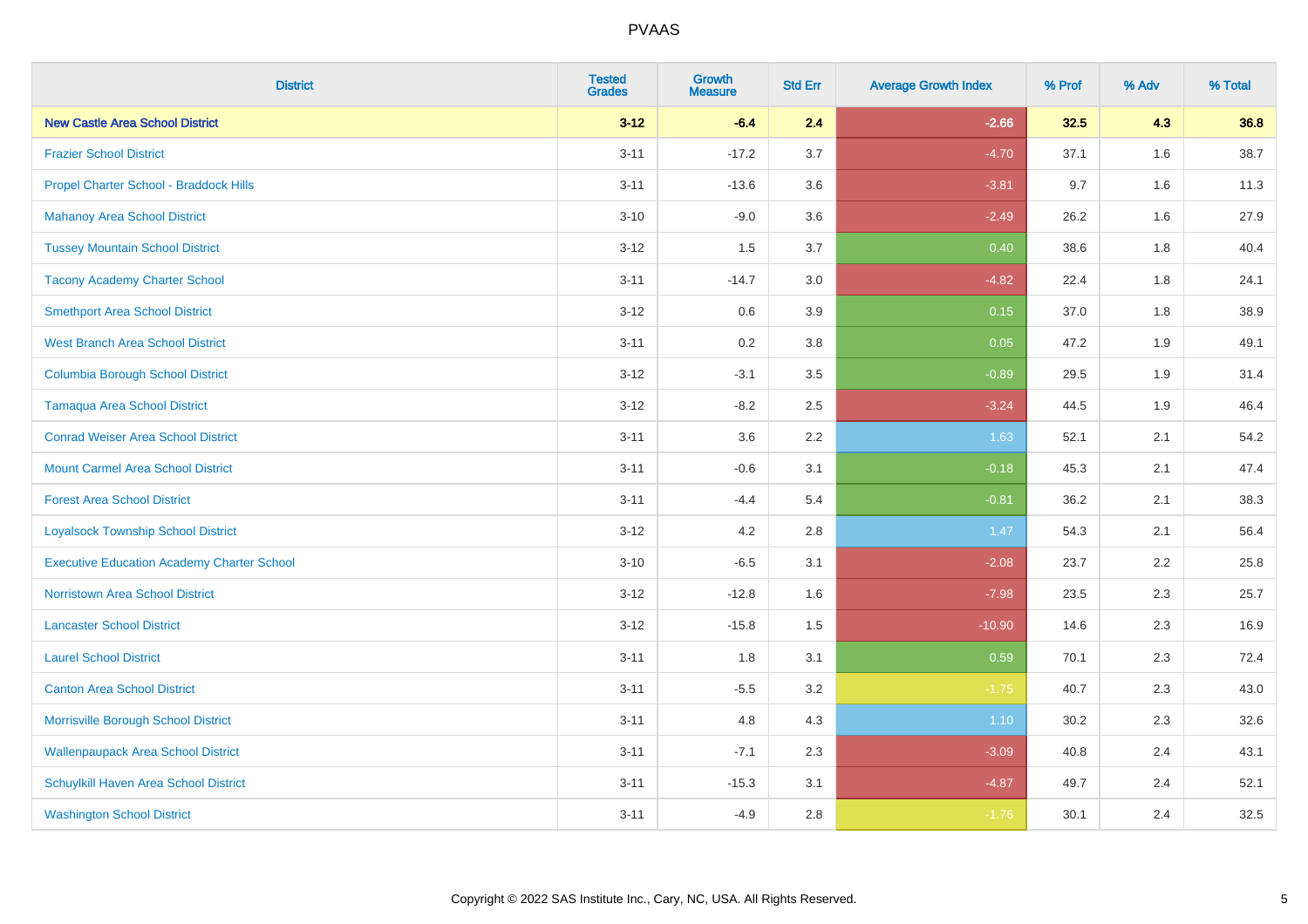| <b>District</b>                                   | <b>Tested</b><br><b>Grades</b> | <b>Growth</b><br><b>Measure</b> | <b>Std Err</b> | <b>Average Growth Index</b> | % Prof | % Adv | % Total |
|---------------------------------------------------|--------------------------------|---------------------------------|----------------|-----------------------------|--------|-------|---------|
| <b>New Castle Area School District</b>            | $3 - 12$                       | $-6.4$                          | 2.4            | $-2.66$                     | 32.5   | 4.3   | 36.8    |
| <b>Frazier School District</b>                    | $3 - 11$                       | $-17.2$                         | 3.7            | $-4.70$                     | 37.1   | 1.6   | 38.7    |
| Propel Charter School - Braddock Hills            | $3 - 11$                       | $-13.6$                         | 3.6            | $-3.81$                     | 9.7    | 1.6   | 11.3    |
| <b>Mahanoy Area School District</b>               | $3 - 10$                       | $-9.0$                          | 3.6            | $-2.49$                     | 26.2   | 1.6   | 27.9    |
| <b>Tussey Mountain School District</b>            | $3 - 12$                       | 1.5                             | 3.7            | 0.40                        | 38.6   | 1.8   | 40.4    |
| <b>Tacony Academy Charter School</b>              | $3 - 11$                       | $-14.7$                         | 3.0            | $-4.82$                     | 22.4   | 1.8   | 24.1    |
| <b>Smethport Area School District</b>             | $3 - 12$                       | 0.6                             | 3.9            | 0.15                        | 37.0   | 1.8   | 38.9    |
| <b>West Branch Area School District</b>           | $3 - 11$                       | 0.2                             | 3.8            | 0.05                        | 47.2   | 1.9   | 49.1    |
| <b>Columbia Borough School District</b>           | $3 - 12$                       | $-3.1$                          | 3.5            | $-0.89$                     | 29.5   | 1.9   | 31.4    |
| <b>Tamaqua Area School District</b>               | $3 - 12$                       | $-8.2$                          | 2.5            | $-3.24$                     | 44.5   | 1.9   | 46.4    |
| <b>Conrad Weiser Area School District</b>         | $3 - 11$                       | 3.6                             | 2.2            | 1.63                        | 52.1   | 2.1   | 54.2    |
| <b>Mount Carmel Area School District</b>          | $3 - 11$                       | $-0.6$                          | 3.1            | $-0.18$                     | 45.3   | 2.1   | 47.4    |
| <b>Forest Area School District</b>                | $3 - 11$                       | $-4.4$                          | 5.4            | $-0.81$                     | 36.2   | 2.1   | 38.3    |
| <b>Loyalsock Township School District</b>         | $3 - 12$                       | 4.2                             | 2.8            | 1.47                        | 54.3   | 2.1   | 56.4    |
| <b>Executive Education Academy Charter School</b> | $3 - 10$                       | $-6.5$                          | 3.1            | $-2.08$                     | 23.7   | 2.2   | 25.8    |
| <b>Norristown Area School District</b>            | $3 - 12$                       | $-12.8$                         | 1.6            | $-7.98$                     | 23.5   | 2.3   | 25.7    |
| <b>Lancaster School District</b>                  | $3 - 12$                       | $-15.8$                         | 1.5            | $-10.90$                    | 14.6   | 2.3   | 16.9    |
| <b>Laurel School District</b>                     | $3 - 11$                       | 1.8                             | 3.1            | 0.59                        | 70.1   | 2.3   | 72.4    |
| <b>Canton Area School District</b>                | $3 - 11$                       | $-5.5$                          | 3.2            | $-1.75$                     | 40.7   | 2.3   | 43.0    |
| Morrisville Borough School District               | $3 - 11$                       | 4.8                             | 4.3            | 1.10                        | 30.2   | 2.3   | 32.6    |
| <b>Wallenpaupack Area School District</b>         | $3 - 11$                       | $-7.1$                          | 2.3            | $-3.09$                     | 40.8   | 2.4   | 43.1    |
| Schuylkill Haven Area School District             | $3 - 11$                       | $-15.3$                         | 3.1            | $-4.87$                     | 49.7   | 2.4   | 52.1    |
| <b>Washington School District</b>                 | $3 - 11$                       | $-4.9$                          | 2.8            | $-1.76$                     | 30.1   | 2.4   | 32.5    |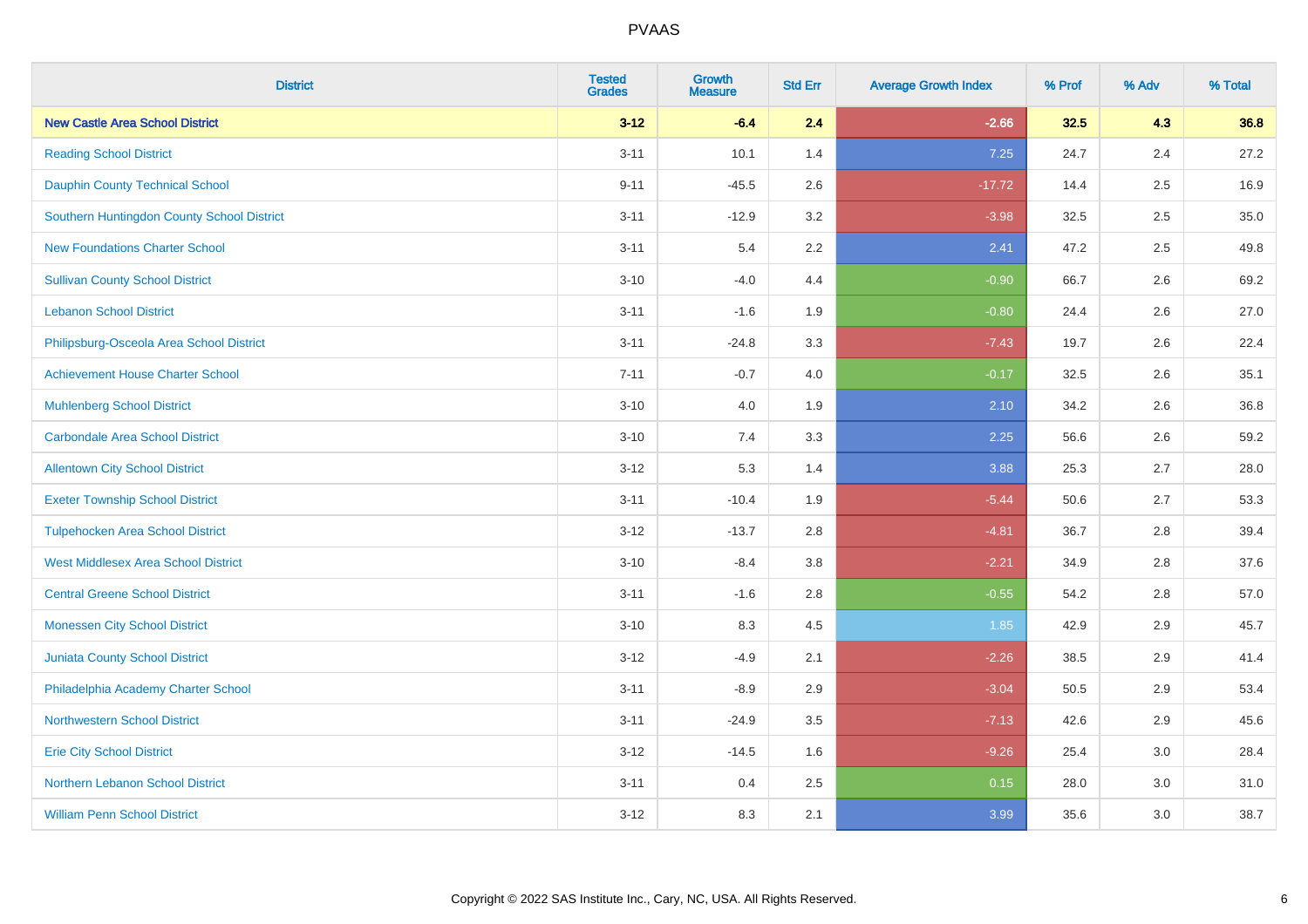| <b>District</b>                            | <b>Tested</b><br><b>Grades</b> | <b>Growth</b><br><b>Measure</b> | <b>Std Err</b> | <b>Average Growth Index</b> | % Prof | % Adv   | % Total |
|--------------------------------------------|--------------------------------|---------------------------------|----------------|-----------------------------|--------|---------|---------|
| <b>New Castle Area School District</b>     | $3 - 12$                       | $-6.4$                          | 2.4            | $-2.66$                     | 32.5   | 4.3     | 36.8    |
| <b>Reading School District</b>             | $3 - 11$                       | 10.1                            | 1.4            | 7.25                        | 24.7   | 2.4     | 27.2    |
| <b>Dauphin County Technical School</b>     | $9 - 11$                       | $-45.5$                         | 2.6            | $-17.72$                    | 14.4   | 2.5     | 16.9    |
| Southern Huntingdon County School District | $3 - 11$                       | $-12.9$                         | 3.2            | $-3.98$                     | 32.5   | $2.5\,$ | 35.0    |
| <b>New Foundations Charter School</b>      | $3 - 11$                       | 5.4                             | 2.2            | 2.41                        | 47.2   | 2.5     | 49.8    |
| <b>Sullivan County School District</b>     | $3 - 10$                       | $-4.0$                          | 4.4            | $-0.90$                     | 66.7   | 2.6     | 69.2    |
| <b>Lebanon School District</b>             | $3 - 11$                       | $-1.6$                          | 1.9            | $-0.80$                     | 24.4   | 2.6     | 27.0    |
| Philipsburg-Osceola Area School District   | $3 - 11$                       | $-24.8$                         | 3.3            | $-7.43$                     | 19.7   | 2.6     | 22.4    |
| <b>Achievement House Charter School</b>    | $7 - 11$                       | $-0.7$                          | 4.0            | $-0.17$                     | 32.5   | 2.6     | 35.1    |
| <b>Muhlenberg School District</b>          | $3 - 10$                       | 4.0                             | 1.9            | 2.10                        | 34.2   | 2.6     | 36.8    |
| <b>Carbondale Area School District</b>     | $3 - 10$                       | 7.4                             | 3.3            | 2.25                        | 56.6   | 2.6     | 59.2    |
| <b>Allentown City School District</b>      | $3 - 12$                       | 5.3                             | 1.4            | 3.88                        | 25.3   | 2.7     | 28.0    |
| <b>Exeter Township School District</b>     | $3 - 11$                       | $-10.4$                         | 1.9            | $-5.44$                     | 50.6   | 2.7     | 53.3    |
| <b>Tulpehocken Area School District</b>    | $3 - 12$                       | $-13.7$                         | 2.8            | $-4.81$                     | 36.7   | 2.8     | 39.4    |
| <b>West Middlesex Area School District</b> | $3 - 10$                       | $-8.4$                          | 3.8            | $-2.21$                     | 34.9   | 2.8     | 37.6    |
| <b>Central Greene School District</b>      | $3 - 11$                       | $-1.6$                          | 2.8            | $-0.55$                     | 54.2   | 2.8     | 57.0    |
| <b>Monessen City School District</b>       | $3 - 10$                       | 8.3                             | 4.5            | 1.85                        | 42.9   | 2.9     | 45.7    |
| <b>Juniata County School District</b>      | $3 - 12$                       | $-4.9$                          | 2.1            | $-2.26$                     | 38.5   | 2.9     | 41.4    |
| Philadelphia Academy Charter School        | $3 - 11$                       | $-8.9$                          | 2.9            | $-3.04$                     | 50.5   | 2.9     | 53.4    |
| <b>Northwestern School District</b>        | $3 - 11$                       | $-24.9$                         | 3.5            | $-7.13$                     | 42.6   | 2.9     | 45.6    |
| <b>Erie City School District</b>           | $3 - 12$                       | $-14.5$                         | 1.6            | $-9.26$                     | 25.4   | 3.0     | 28.4    |
| Northern Lebanon School District           | $3 - 11$                       | 0.4                             | 2.5            | 0.15                        | 28.0   | 3.0     | 31.0    |
| <b>William Penn School District</b>        | $3 - 12$                       | 8.3                             | 2.1            | 3.99                        | 35.6   | 3.0     | 38.7    |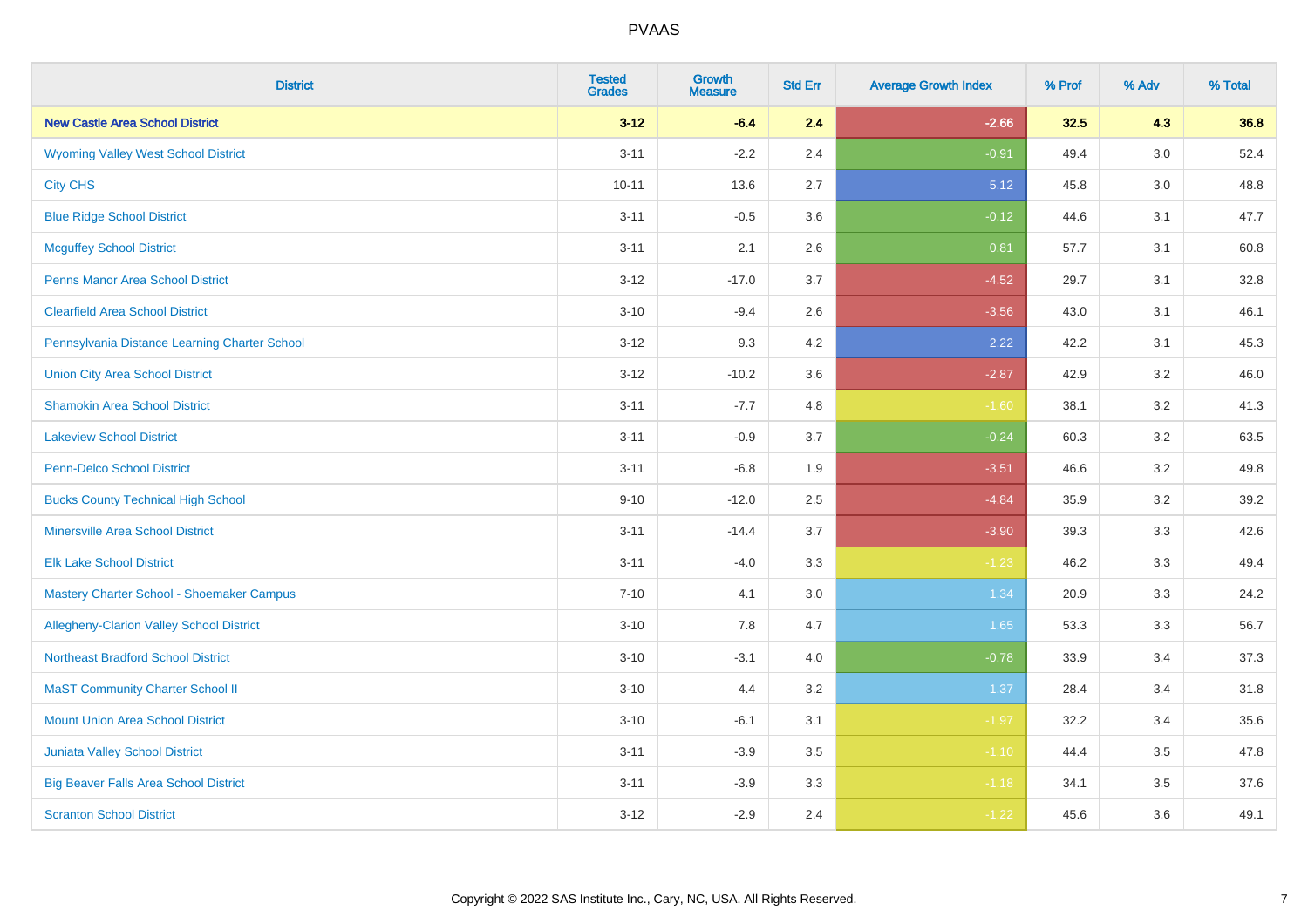| <b>District</b>                                 | <b>Tested</b><br><b>Grades</b> | <b>Growth</b><br><b>Measure</b> | <b>Std Err</b> | <b>Average Growth Index</b> | % Prof | % Adv | % Total |
|-------------------------------------------------|--------------------------------|---------------------------------|----------------|-----------------------------|--------|-------|---------|
| <b>New Castle Area School District</b>          | $3 - 12$                       | $-6.4$                          | 2.4            | $-2.66$                     | 32.5   | 4.3   | 36.8    |
| <b>Wyoming Valley West School District</b>      | $3 - 11$                       | $-2.2$                          | 2.4            | $-0.91$                     | 49.4   | 3.0   | 52.4    |
| <b>City CHS</b>                                 | $10 - 11$                      | 13.6                            | 2.7            | 5.12                        | 45.8   | 3.0   | 48.8    |
| <b>Blue Ridge School District</b>               | $3 - 11$                       | $-0.5$                          | 3.6            | $-0.12$                     | 44.6   | 3.1   | 47.7    |
| <b>Mcguffey School District</b>                 | $3 - 11$                       | 2.1                             | 2.6            | 0.81                        | 57.7   | 3.1   | 60.8    |
| <b>Penns Manor Area School District</b>         | $3 - 12$                       | $-17.0$                         | 3.7            | $-4.52$                     | 29.7   | 3.1   | 32.8    |
| <b>Clearfield Area School District</b>          | $3 - 10$                       | $-9.4$                          | 2.6            | $-3.56$                     | 43.0   | 3.1   | 46.1    |
| Pennsylvania Distance Learning Charter School   | $3 - 12$                       | 9.3                             | 4.2            | 2.22                        | 42.2   | 3.1   | 45.3    |
| <b>Union City Area School District</b>          | $3 - 12$                       | $-10.2$                         | 3.6            | $-2.87$                     | 42.9   | 3.2   | 46.0    |
| <b>Shamokin Area School District</b>            | $3 - 11$                       | $-7.7$                          | 4.8            | $-1.60$                     | 38.1   | 3.2   | 41.3    |
| <b>Lakeview School District</b>                 | $3 - 11$                       | $-0.9$                          | 3.7            | $-0.24$                     | 60.3   | 3.2   | 63.5    |
| <b>Penn-Delco School District</b>               | $3 - 11$                       | $-6.8$                          | 1.9            | $-3.51$                     | 46.6   | 3.2   | 49.8    |
| <b>Bucks County Technical High School</b>       | $9 - 10$                       | $-12.0$                         | 2.5            | $-4.84$                     | 35.9   | 3.2   | 39.2    |
| <b>Minersville Area School District</b>         | $3 - 11$                       | $-14.4$                         | 3.7            | $-3.90$                     | 39.3   | 3.3   | 42.6    |
| <b>Elk Lake School District</b>                 | $3 - 11$                       | $-4.0$                          | 3.3            | $-1.23$                     | 46.2   | 3.3   | 49.4    |
| Mastery Charter School - Shoemaker Campus       | $7 - 10$                       | 4.1                             | 3.0            | 1.34                        | 20.9   | 3.3   | 24.2    |
| <b>Allegheny-Clarion Valley School District</b> | $3 - 10$                       | 7.8                             | 4.7            | 1.65                        | 53.3   | 3.3   | 56.7    |
| <b>Northeast Bradford School District</b>       | $3 - 10$                       | $-3.1$                          | 4.0            | $-0.78$                     | 33.9   | 3.4   | 37.3    |
| <b>MaST Community Charter School II</b>         | $3 - 10$                       | 4.4                             | 3.2            | 1.37                        | 28.4   | 3.4   | 31.8    |
| <b>Mount Union Area School District</b>         | $3 - 10$                       | $-6.1$                          | 3.1            | $-1.97$                     | 32.2   | 3.4   | 35.6    |
| <b>Juniata Valley School District</b>           | $3 - 11$                       | $-3.9$                          | 3.5            | $-1.10$                     | 44.4   | 3.5   | 47.8    |
| <b>Big Beaver Falls Area School District</b>    | $3 - 11$                       | $-3.9$                          | 3.3            | $-1.18$                     | 34.1   | 3.5   | 37.6    |
| <b>Scranton School District</b>                 | $3 - 12$                       | $-2.9$                          | 2.4            | $-1.22$                     | 45.6   | 3.6   | 49.1    |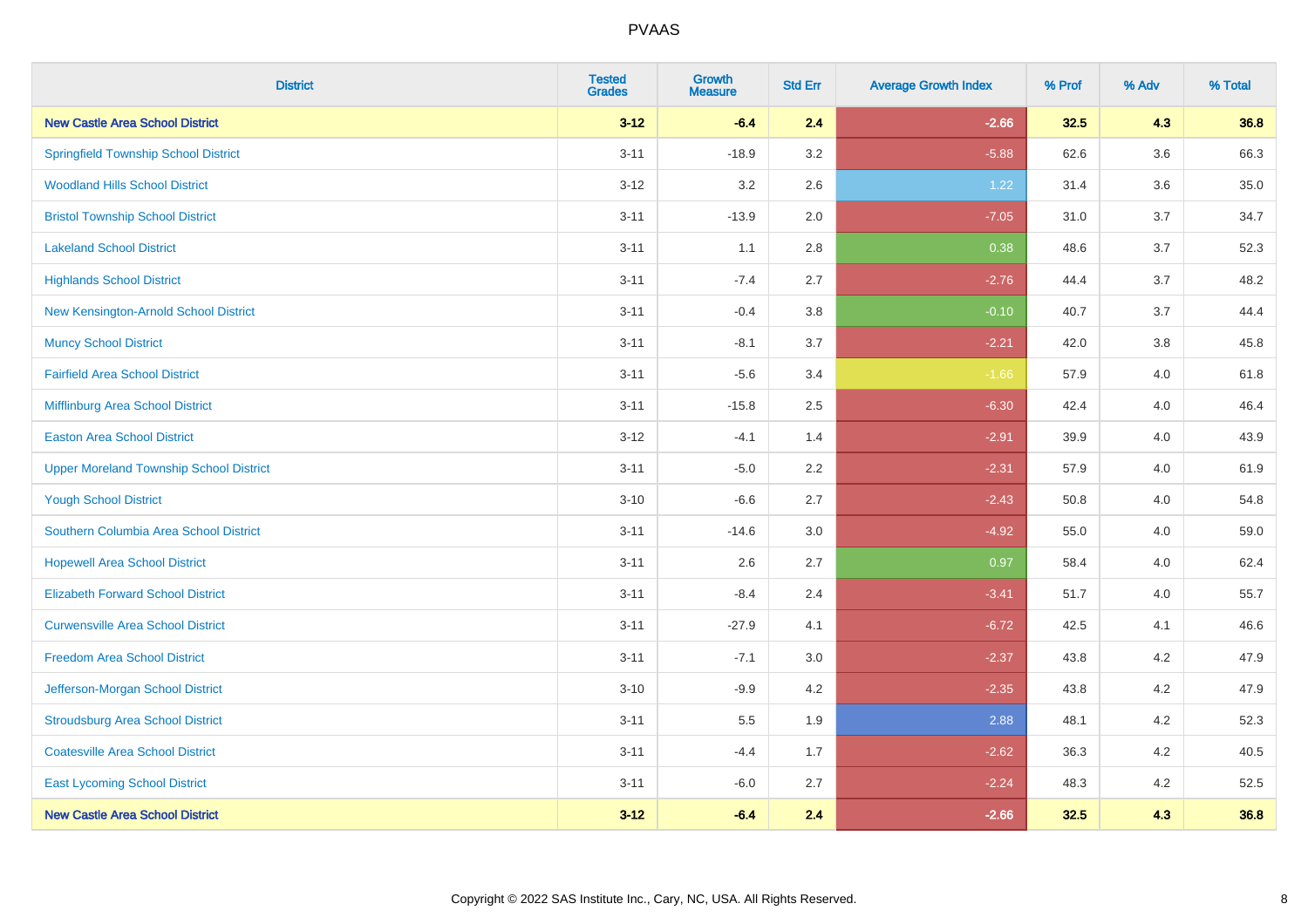| <b>District</b>                                | <b>Tested</b><br><b>Grades</b> | <b>Growth</b><br><b>Measure</b> | <b>Std Err</b> | <b>Average Growth Index</b> | % Prof | % Adv   | % Total |
|------------------------------------------------|--------------------------------|---------------------------------|----------------|-----------------------------|--------|---------|---------|
| <b>New Castle Area School District</b>         | $3 - 12$                       | $-6.4$                          | 2.4            | $-2.66$                     | 32.5   | 4.3     | 36.8    |
| <b>Springfield Township School District</b>    | $3 - 11$                       | $-18.9$                         | 3.2            | $-5.88$                     | 62.6   | $3.6\,$ | 66.3    |
| <b>Woodland Hills School District</b>          | $3 - 12$                       | 3.2                             | 2.6            | 1.22                        | 31.4   | 3.6     | 35.0    |
| <b>Bristol Township School District</b>        | $3 - 11$                       | $-13.9$                         | 2.0            | $-7.05$                     | 31.0   | 3.7     | 34.7    |
| <b>Lakeland School District</b>                | $3 - 11$                       | 1.1                             | 2.8            | 0.38                        | 48.6   | 3.7     | 52.3    |
| <b>Highlands School District</b>               | $3 - 11$                       | $-7.4$                          | 2.7            | $-2.76$                     | 44.4   | 3.7     | 48.2    |
| New Kensington-Arnold School District          | $3 - 11$                       | $-0.4$                          | 3.8            | $-0.10$                     | 40.7   | 3.7     | 44.4    |
| <b>Muncy School District</b>                   | $3 - 11$                       | $-8.1$                          | 3.7            | $-2.21$                     | 42.0   | 3.8     | 45.8    |
| <b>Fairfield Area School District</b>          | $3 - 11$                       | $-5.6$                          | 3.4            | $-1.66$                     | 57.9   | 4.0     | 61.8    |
| Mifflinburg Area School District               | $3 - 11$                       | $-15.8$                         | 2.5            | $-6.30$                     | 42.4   | 4.0     | 46.4    |
| <b>Easton Area School District</b>             | $3 - 12$                       | $-4.1$                          | 1.4            | $-2.91$                     | 39.9   | 4.0     | 43.9    |
| <b>Upper Moreland Township School District</b> | $3 - 11$                       | $-5.0$                          | 2.2            | $-2.31$                     | 57.9   | 4.0     | 61.9    |
| <b>Yough School District</b>                   | $3 - 10$                       | $-6.6$                          | 2.7            | $-2.43$                     | 50.8   | 4.0     | 54.8    |
| Southern Columbia Area School District         | $3 - 11$                       | $-14.6$                         | 3.0            | $-4.92$                     | 55.0   | 4.0     | 59.0    |
| <b>Hopewell Area School District</b>           | $3 - 11$                       | 2.6                             | 2.7            | 0.97                        | 58.4   | 4.0     | 62.4    |
| <b>Elizabeth Forward School District</b>       | $3 - 11$                       | $-8.4$                          | 2.4            | $-3.41$                     | 51.7   | 4.0     | 55.7    |
| <b>Curwensville Area School District</b>       | $3 - 11$                       | $-27.9$                         | 4.1            | $-6.72$                     | 42.5   | 4.1     | 46.6    |
| <b>Freedom Area School District</b>            | $3 - 11$                       | $-7.1$                          | 3.0            | $-2.37$                     | 43.8   | 4.2     | 47.9    |
| Jefferson-Morgan School District               | $3 - 10$                       | $-9.9$                          | 4.2            | $-2.35$                     | 43.8   | 4.2     | 47.9    |
| <b>Stroudsburg Area School District</b>        | $3 - 11$                       | $5.5\,$                         | 1.9            | 2.88                        | 48.1   | 4.2     | 52.3    |
| <b>Coatesville Area School District</b>        | $3 - 11$                       | $-4.4$                          | 1.7            | $-2.62$                     | 36.3   | 4.2     | 40.5    |
| <b>East Lycoming School District</b>           | $3 - 11$                       | $-6.0$                          | 2.7            | $-2.24$                     | 48.3   | 4.2     | 52.5    |
| <b>New Castle Area School District</b>         | $3 - 12$                       | $-6.4$                          | 2.4            | $-2.66$                     | 32.5   | 4.3     | 36.8    |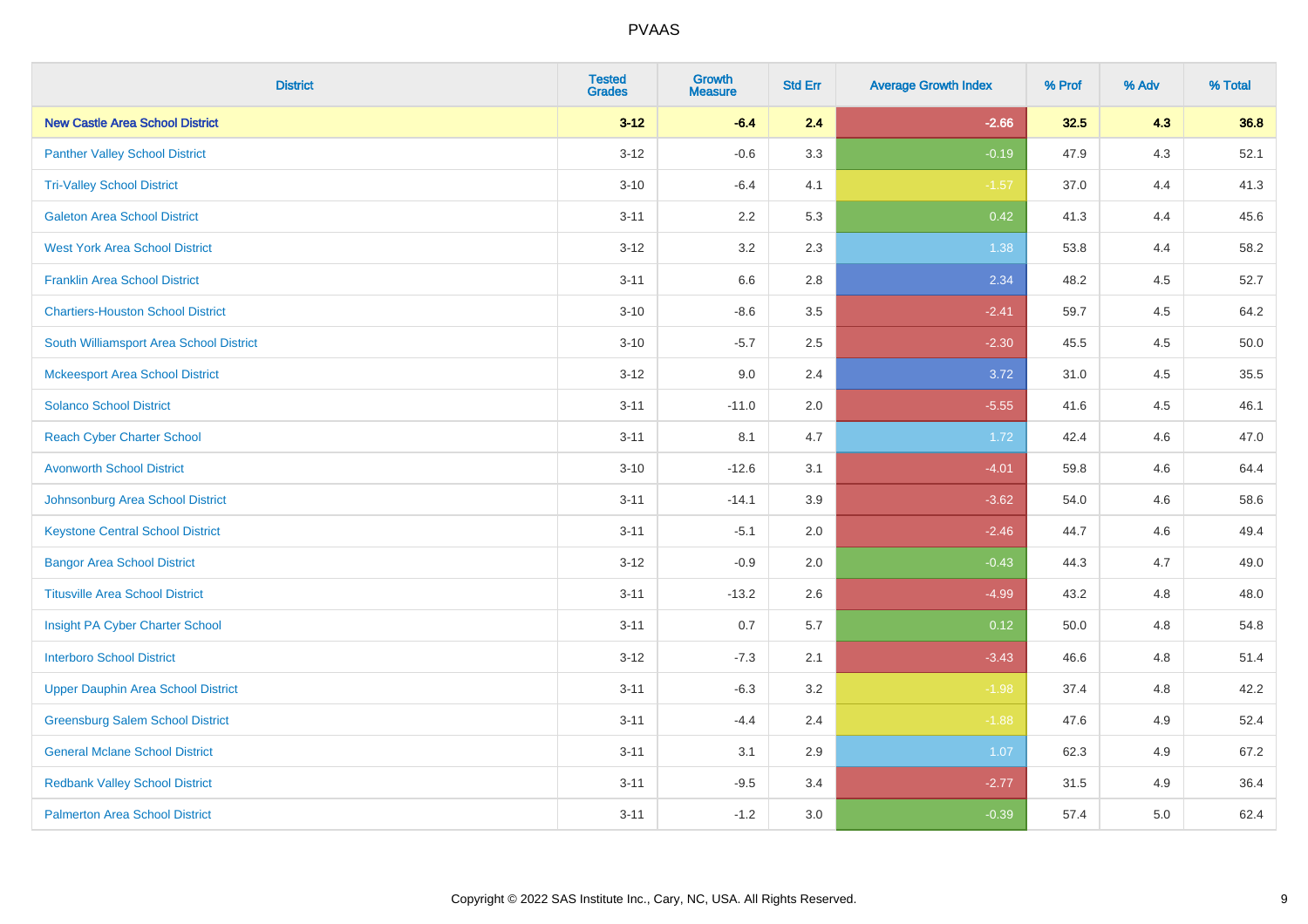| <b>District</b>                           | <b>Tested</b><br><b>Grades</b> | Growth<br><b>Measure</b> | <b>Std Err</b> | <b>Average Growth Index</b> | % Prof | % Adv | % Total |
|-------------------------------------------|--------------------------------|--------------------------|----------------|-----------------------------|--------|-------|---------|
| <b>New Castle Area School District</b>    | $3 - 12$                       | $-6.4$                   | 2.4            | $-2.66$                     | 32.5   | 4.3   | 36.8    |
| <b>Panther Valley School District</b>     | $3 - 12$                       | $-0.6$                   | 3.3            | $-0.19$                     | 47.9   | $4.3$ | 52.1    |
| <b>Tri-Valley School District</b>         | $3 - 10$                       | $-6.4$                   | 4.1            | $-1.57$                     | 37.0   | 4.4   | 41.3    |
| <b>Galeton Area School District</b>       | $3 - 11$                       | 2.2                      | 5.3            | 0.42                        | 41.3   | 4.4   | 45.6    |
| <b>West York Area School District</b>     | $3 - 12$                       | 3.2                      | 2.3            | 1.38                        | 53.8   | 4.4   | 58.2    |
| <b>Franklin Area School District</b>      | $3 - 11$                       | 6.6                      | 2.8            | 2.34                        | 48.2   | 4.5   | 52.7    |
| <b>Chartiers-Houston School District</b>  | $3 - 10$                       | $-8.6$                   | 3.5            | $-2.41$                     | 59.7   | 4.5   | 64.2    |
| South Williamsport Area School District   | $3 - 10$                       | $-5.7$                   | 2.5            | $-2.30$                     | 45.5   | 4.5   | 50.0    |
| <b>Mckeesport Area School District</b>    | $3 - 12$                       | 9.0                      | 2.4            | 3.72                        | 31.0   | 4.5   | 35.5    |
| <b>Solanco School District</b>            | $3 - 11$                       | $-11.0$                  | 2.0            | $-5.55$                     | 41.6   | 4.5   | 46.1    |
| <b>Reach Cyber Charter School</b>         | $3 - 11$                       | 8.1                      | 4.7            | 1.72                        | 42.4   | 4.6   | 47.0    |
| <b>Avonworth School District</b>          | $3 - 10$                       | $-12.6$                  | 3.1            | $-4.01$                     | 59.8   | 4.6   | 64.4    |
| Johnsonburg Area School District          | $3 - 11$                       | $-14.1$                  | 3.9            | $-3.62$                     | 54.0   | 4.6   | 58.6    |
| <b>Keystone Central School District</b>   | $3 - 11$                       | $-5.1$                   | 2.0            | $-2.46$                     | 44.7   | 4.6   | 49.4    |
| <b>Bangor Area School District</b>        | $3 - 12$                       | $-0.9$                   | 2.0            | $-0.43$                     | 44.3   | 4.7   | 49.0    |
| <b>Titusville Area School District</b>    | $3 - 11$                       | $-13.2$                  | 2.6            | $-4.99$                     | 43.2   | 4.8   | 48.0    |
| Insight PA Cyber Charter School           | $3 - 11$                       | 0.7                      | 5.7            | 0.12                        | 50.0   | 4.8   | 54.8    |
| <b>Interboro School District</b>          | $3 - 12$                       | $-7.3$                   | 2.1            | $-3.43$                     | 46.6   | 4.8   | 51.4    |
| <b>Upper Dauphin Area School District</b> | $3 - 11$                       | $-6.3$                   | 3.2            | $-1.98$                     | 37.4   | 4.8   | 42.2    |
| <b>Greensburg Salem School District</b>   | $3 - 11$                       | $-4.4$                   | 2.4            | $-1.88$                     | 47.6   | 4.9   | 52.4    |
| <b>General Mclane School District</b>     | $3 - 11$                       | 3.1                      | 2.9            | 1.07                        | 62.3   | 4.9   | 67.2    |
| <b>Redbank Valley School District</b>     | $3 - 11$                       | $-9.5$                   | 3.4            | $-2.77$                     | 31.5   | 4.9   | 36.4    |
| <b>Palmerton Area School District</b>     | $3 - 11$                       | $-1.2$                   | 3.0            | $-0.39$                     | 57.4   | 5.0   | 62.4    |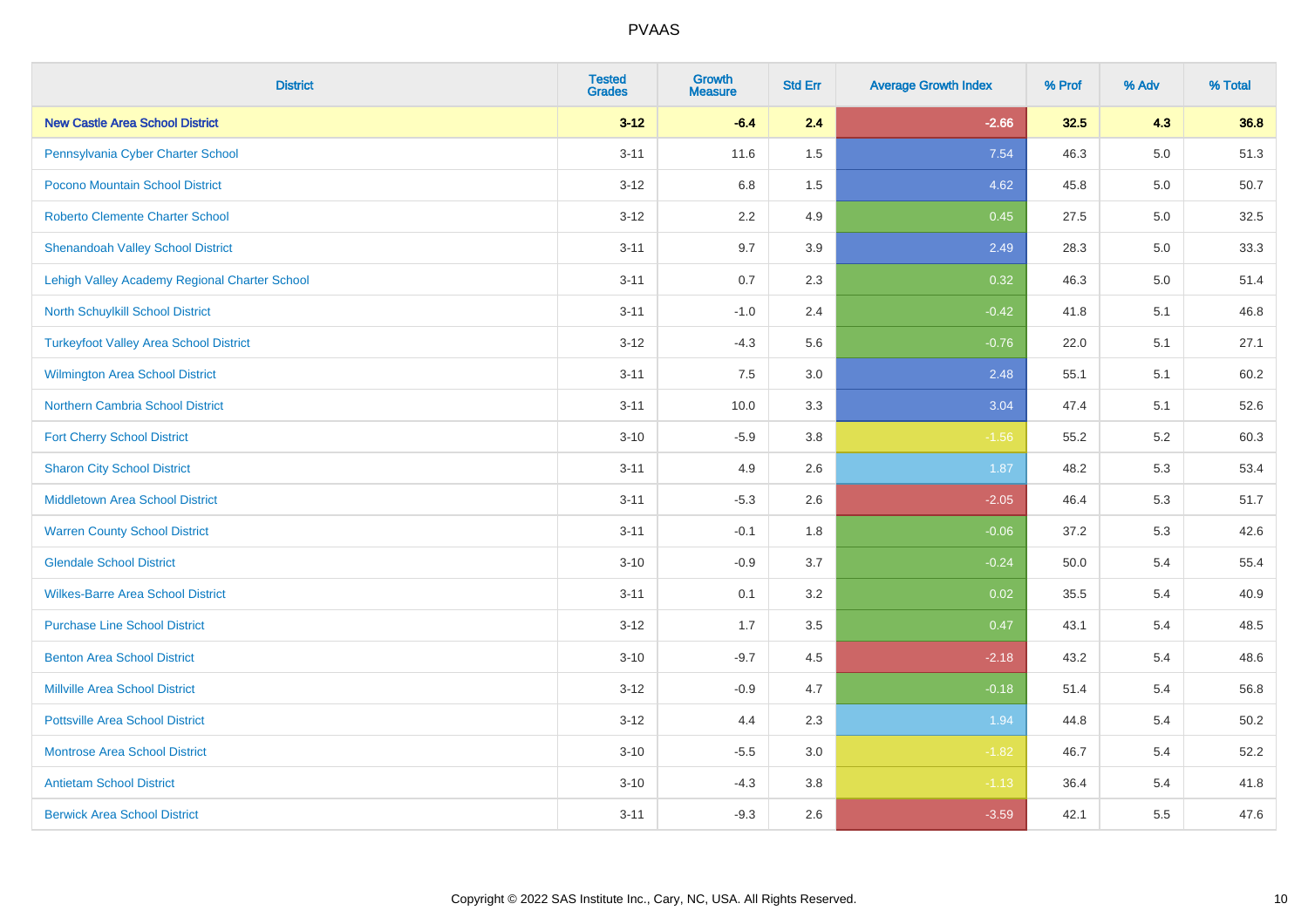| <b>District</b>                               | <b>Tested</b><br><b>Grades</b> | <b>Growth</b><br><b>Measure</b> | <b>Std Err</b> | <b>Average Growth Index</b> | % Prof | % Adv | % Total |
|-----------------------------------------------|--------------------------------|---------------------------------|----------------|-----------------------------|--------|-------|---------|
| <b>New Castle Area School District</b>        | $3 - 12$                       | $-6.4$                          | 2.4            | $-2.66$                     | 32.5   | 4.3   | 36.8    |
| Pennsylvania Cyber Charter School             | $3 - 11$                       | 11.6                            | 1.5            | 7.54                        | 46.3   | 5.0   | 51.3    |
| Pocono Mountain School District               | $3 - 12$                       | 6.8                             | 1.5            | 4.62                        | 45.8   | 5.0   | 50.7    |
| <b>Roberto Clemente Charter School</b>        | $3 - 12$                       | 2.2                             | 4.9            | 0.45                        | 27.5   | 5.0   | 32.5    |
| <b>Shenandoah Valley School District</b>      | $3 - 11$                       | 9.7                             | 3.9            | 2.49                        | 28.3   | 5.0   | 33.3    |
| Lehigh Valley Academy Regional Charter School | $3 - 11$                       | 0.7                             | 2.3            | 0.32                        | 46.3   | 5.0   | 51.4    |
| North Schuylkill School District              | $3 - 11$                       | $-1.0$                          | 2.4            | $-0.42$                     | 41.8   | 5.1   | 46.8    |
| <b>Turkeyfoot Valley Area School District</b> | $3 - 12$                       | $-4.3$                          | 5.6            | $-0.76$                     | 22.0   | 5.1   | 27.1    |
| <b>Wilmington Area School District</b>        | $3 - 11$                       | 7.5                             | 3.0            | 2.48                        | 55.1   | 5.1   | 60.2    |
| <b>Northern Cambria School District</b>       | $3 - 11$                       | 10.0                            | 3.3            | 3.04                        | 47.4   | 5.1   | 52.6    |
| <b>Fort Cherry School District</b>            | $3 - 10$                       | $-5.9$                          | 3.8            | $-1.56$                     | 55.2   | 5.2   | 60.3    |
| <b>Sharon City School District</b>            | $3 - 11$                       | 4.9                             | 2.6            | 1.87                        | 48.2   | 5.3   | 53.4    |
| <b>Middletown Area School District</b>        | $3 - 11$                       | $-5.3$                          | 2.6            | $-2.05$                     | 46.4   | 5.3   | 51.7    |
| <b>Warren County School District</b>          | $3 - 11$                       | $-0.1$                          | 1.8            | $-0.06$                     | 37.2   | 5.3   | 42.6    |
| <b>Glendale School District</b>               | $3 - 10$                       | $-0.9$                          | 3.7            | $-0.24$                     | 50.0   | 5.4   | 55.4    |
| <b>Wilkes-Barre Area School District</b>      | $3 - 11$                       | 0.1                             | 3.2            | 0.02                        | 35.5   | 5.4   | 40.9    |
| <b>Purchase Line School District</b>          | $3 - 12$                       | 1.7                             | 3.5            | 0.47                        | 43.1   | 5.4   | 48.5    |
| <b>Benton Area School District</b>            | $3 - 10$                       | $-9.7$                          | 4.5            | $-2.18$                     | 43.2   | 5.4   | 48.6    |
| <b>Millville Area School District</b>         | $3-12$                         | $-0.9$                          | 4.7            | $-0.18$                     | 51.4   | 5.4   | 56.8    |
| <b>Pottsville Area School District</b>        | $3 - 12$                       | 4.4                             | 2.3            | 1.94                        | 44.8   | 5.4   | 50.2    |
| <b>Montrose Area School District</b>          | $3 - 10$                       | $-5.5$                          | 3.0            | $-1.82$                     | 46.7   | 5.4   | 52.2    |
| <b>Antietam School District</b>               | $3 - 10$                       | $-4.3$                          | 3.8            | $-1.13$                     | 36.4   | 5.4   | 41.8    |
| <b>Berwick Area School District</b>           | $3 - 11$                       | $-9.3$                          | 2.6            | $-3.59$                     | 42.1   | 5.5   | 47.6    |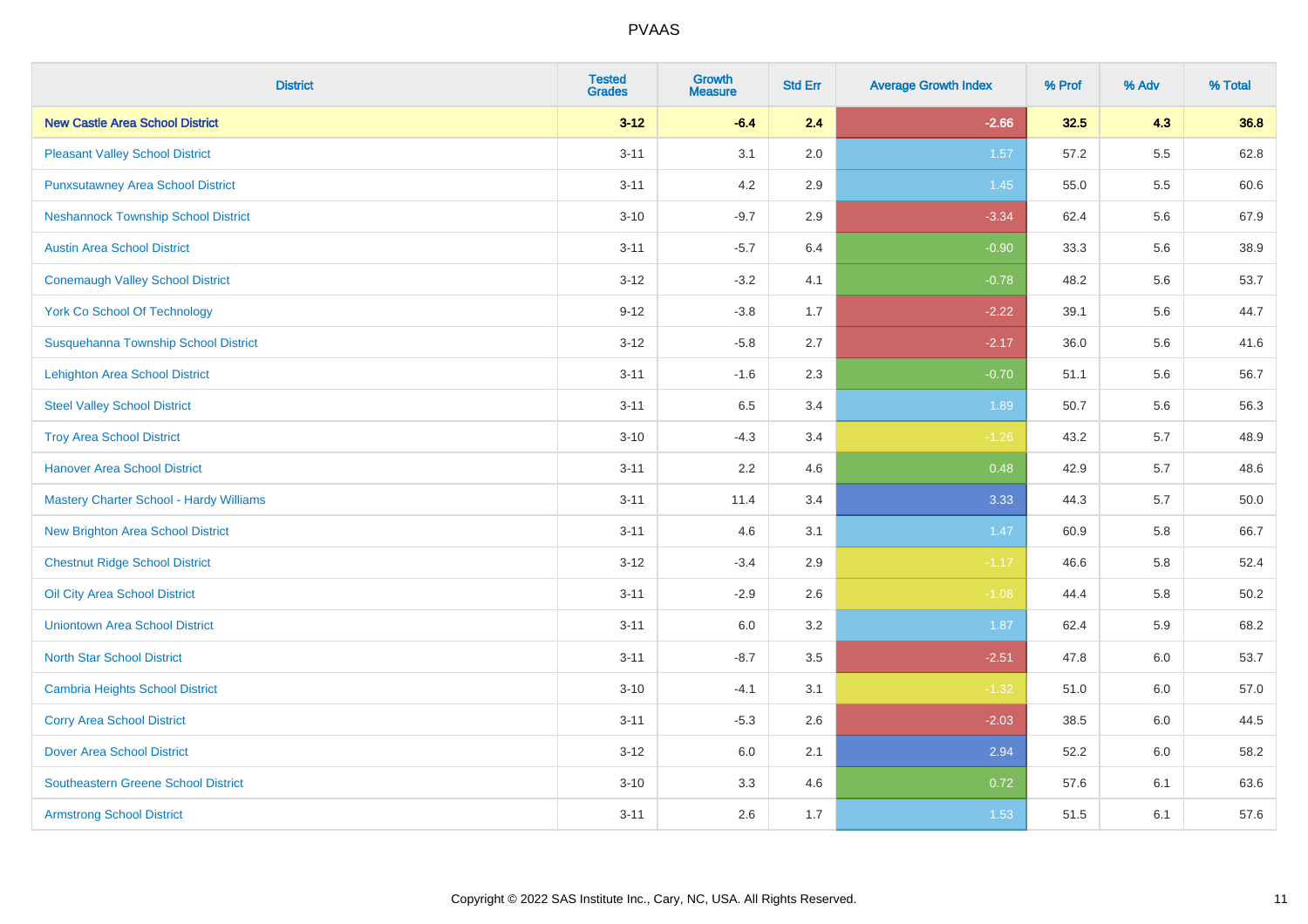| <b>District</b>                            | <b>Tested</b><br><b>Grades</b> | <b>Growth</b><br><b>Measure</b> | <b>Std Err</b> | <b>Average Growth Index</b> | % Prof | % Adv | % Total  |
|--------------------------------------------|--------------------------------|---------------------------------|----------------|-----------------------------|--------|-------|----------|
| <b>New Castle Area School District</b>     | $3 - 12$                       | $-6.4$                          | 2.4            | $-2.66$                     | 32.5   | 4.3   | 36.8     |
| <b>Pleasant Valley School District</b>     | $3 - 11$                       | 3.1                             | 2.0            | 1.57                        | 57.2   | 5.5   | 62.8     |
| <b>Punxsutawney Area School District</b>   | $3 - 11$                       | 4.2                             | 2.9            | 1.45                        | 55.0   | 5.5   | 60.6     |
| <b>Neshannock Township School District</b> | $3 - 10$                       | $-9.7$                          | 2.9            | $-3.34$                     | 62.4   | 5.6   | 67.9     |
| <b>Austin Area School District</b>         | $3 - 11$                       | $-5.7$                          | 6.4            | $-0.90$                     | 33.3   | 5.6   | 38.9     |
| <b>Conemaugh Valley School District</b>    | $3 - 12$                       | $-3.2$                          | 4.1            | $-0.78$                     | 48.2   | 5.6   | 53.7     |
| <b>York Co School Of Technology</b>        | $9 - 12$                       | $-3.8$                          | 1.7            | $-2.22$                     | 39.1   | 5.6   | 44.7     |
| Susquehanna Township School District       | $3 - 12$                       | $-5.8$                          | 2.7            | $-2.17$                     | 36.0   | 5.6   | 41.6     |
| <b>Lehighton Area School District</b>      | $3 - 11$                       | $-1.6$                          | 2.3            | $-0.70$                     | 51.1   | 5.6   | 56.7     |
| <b>Steel Valley School District</b>        | $3 - 11$                       | 6.5                             | 3.4            | 1.89                        | 50.7   | 5.6   | 56.3     |
| <b>Troy Area School District</b>           | $3 - 10$                       | $-4.3$                          | 3.4            | $-1.26$                     | 43.2   | 5.7   | 48.9     |
| <b>Hanover Area School District</b>        | $3 - 11$                       | 2.2                             | 4.6            | 0.48                        | 42.9   | 5.7   | 48.6     |
| Mastery Charter School - Hardy Williams    | $3 - 11$                       | 11.4                            | 3.4            | 3.33                        | 44.3   | 5.7   | 50.0     |
| <b>New Brighton Area School District</b>   | $3 - 11$                       | 4.6                             | 3.1            | 1.47                        | 60.9   | 5.8   | 66.7     |
| <b>Chestnut Ridge School District</b>      | $3 - 12$                       | $-3.4$                          | 2.9            | $-1.17$                     | 46.6   | 5.8   | 52.4     |
| Oil City Area School District              | $3 - 11$                       | $-2.9$                          | 2.6            | $-1.08$                     | 44.4   | 5.8   | $50.2\,$ |
| <b>Uniontown Area School District</b>      | $3 - 11$                       | 6.0                             | 3.2            | 1.87                        | 62.4   | 5.9   | 68.2     |
| <b>North Star School District</b>          | $3 - 11$                       | $-8.7$                          | 3.5            | $-2.51$                     | 47.8   | 6.0   | 53.7     |
| <b>Cambria Heights School District</b>     | $3 - 10$                       | $-4.1$                          | 3.1            | $-1.32$                     | 51.0   | 6.0   | 57.0     |
| <b>Corry Area School District</b>          | $3 - 11$                       | $-5.3$                          | 2.6            | $-2.03$                     | 38.5   | 6.0   | 44.5     |
| <b>Dover Area School District</b>          | $3 - 12$                       | 6.0                             | 2.1            | 2.94                        | 52.2   | 6.0   | 58.2     |
| <b>Southeastern Greene School District</b> | $3 - 10$                       | 3.3                             | 4.6            | 0.72                        | 57.6   | 6.1   | 63.6     |
| <b>Armstrong School District</b>           | $3 - 11$                       | 2.6                             | 1.7            | 1.53                        | 51.5   | 6.1   | 57.6     |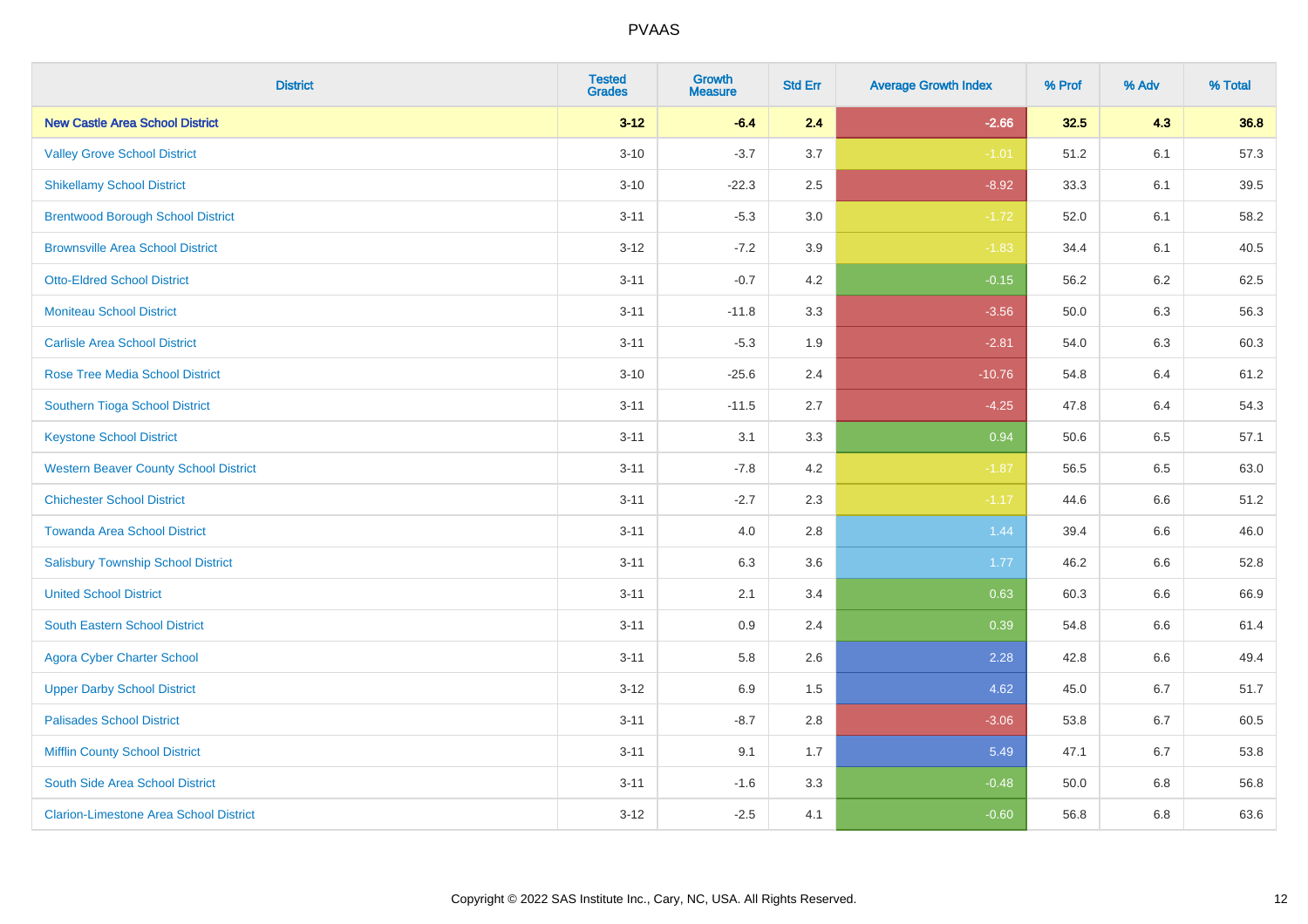| <b>District</b>                               | <b>Tested</b><br><b>Grades</b> | <b>Growth</b><br><b>Measure</b> | <b>Std Err</b> | <b>Average Growth Index</b> | % Prof | % Adv   | % Total |
|-----------------------------------------------|--------------------------------|---------------------------------|----------------|-----------------------------|--------|---------|---------|
| <b>New Castle Area School District</b>        | $3 - 12$                       | $-6.4$                          | 2.4            | $-2.66$                     | 32.5   | 4.3     | 36.8    |
| <b>Valley Grove School District</b>           | $3 - 10$                       | $-3.7$                          | 3.7            | $-1.01$                     | 51.2   | 6.1     | 57.3    |
| <b>Shikellamy School District</b>             | $3 - 10$                       | $-22.3$                         | 2.5            | $-8.92$                     | 33.3   | 6.1     | 39.5    |
| <b>Brentwood Borough School District</b>      | $3 - 11$                       | $-5.3$                          | 3.0            | $-1.72$                     | 52.0   | 6.1     | 58.2    |
| <b>Brownsville Area School District</b>       | $3 - 12$                       | $-7.2$                          | 3.9            | $-1.83$                     | 34.4   | 6.1     | 40.5    |
| <b>Otto-Eldred School District</b>            | $3 - 11$                       | $-0.7$                          | 4.2            | $-0.15$                     | 56.2   | 6.2     | 62.5    |
| <b>Moniteau School District</b>               | $3 - 11$                       | $-11.8$                         | 3.3            | $-3.56$                     | 50.0   | 6.3     | 56.3    |
| <b>Carlisle Area School District</b>          | $3 - 11$                       | $-5.3$                          | 1.9            | $-2.81$                     | 54.0   | 6.3     | 60.3    |
| <b>Rose Tree Media School District</b>        | $3 - 10$                       | $-25.6$                         | 2.4            | $-10.76$                    | 54.8   | 6.4     | 61.2    |
| Southern Tioga School District                | $3 - 11$                       | $-11.5$                         | 2.7            | $-4.25$                     | 47.8   | 6.4     | 54.3    |
| <b>Keystone School District</b>               | $3 - 11$                       | 3.1                             | 3.3            | 0.94                        | 50.6   | 6.5     | 57.1    |
| <b>Western Beaver County School District</b>  | $3 - 11$                       | $-7.8$                          | 4.2            | $-1.87$                     | 56.5   | 6.5     | 63.0    |
| <b>Chichester School District</b>             | $3 - 11$                       | $-2.7$                          | 2.3            | $-1.17$                     | 44.6   | $6.6\,$ | 51.2    |
| <b>Towanda Area School District</b>           | $3 - 11$                       | 4.0                             | 2.8            | 1.44                        | 39.4   | 6.6     | 46.0    |
| <b>Salisbury Township School District</b>     | $3 - 11$                       | 6.3                             | 3.6            | 1.77                        | 46.2   | 6.6     | 52.8    |
| <b>United School District</b>                 | $3 - 11$                       | 2.1                             | 3.4            | 0.63                        | 60.3   | $6.6\,$ | 66.9    |
| <b>South Eastern School District</b>          | $3 - 11$                       | 0.9                             | 2.4            | 0.39                        | 54.8   | 6.6     | 61.4    |
| <b>Agora Cyber Charter School</b>             | $3 - 11$                       | 5.8                             | 2.6            | 2.28                        | 42.8   | 6.6     | 49.4    |
| <b>Upper Darby School District</b>            | $3 - 12$                       | 6.9                             | 1.5            | 4.62                        | 45.0   | 6.7     | 51.7    |
| <b>Palisades School District</b>              | $3 - 11$                       | $-8.7$                          | 2.8            | $-3.06$                     | 53.8   | 6.7     | 60.5    |
| <b>Mifflin County School District</b>         | $3 - 11$                       | 9.1                             | 1.7            | 5.49                        | 47.1   | 6.7     | 53.8    |
| South Side Area School District               | $3 - 11$                       | $-1.6$                          | 3.3            | $-0.48$                     | 50.0   | 6.8     | 56.8    |
| <b>Clarion-Limestone Area School District</b> | $3 - 12$                       | $-2.5$                          | 4.1            | $-0.60$                     | 56.8   | 6.8     | 63.6    |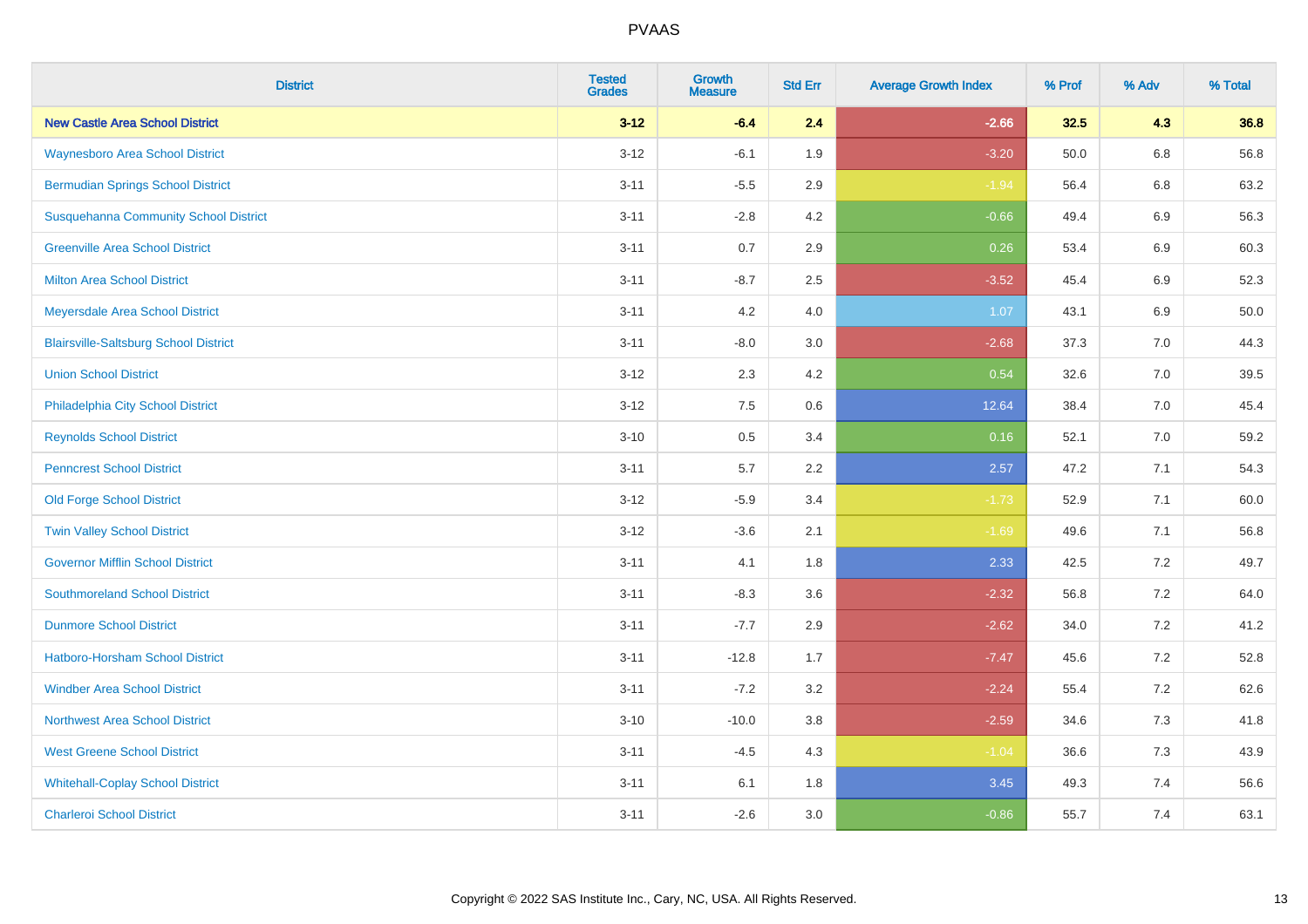| <b>District</b>                              | <b>Tested</b><br><b>Grades</b> | <b>Growth</b><br><b>Measure</b> | <b>Std Err</b> | <b>Average Growth Index</b> | % Prof | % Adv   | % Total |
|----------------------------------------------|--------------------------------|---------------------------------|----------------|-----------------------------|--------|---------|---------|
| <b>New Castle Area School District</b>       | $3 - 12$                       | $-6.4$                          | 2.4            | $-2.66$                     | 32.5   | 4.3     | 36.8    |
| <b>Waynesboro Area School District</b>       | $3 - 12$                       | $-6.1$                          | 1.9            | $-3.20$                     | 50.0   | $6.8\,$ | 56.8    |
| <b>Bermudian Springs School District</b>     | $3 - 11$                       | $-5.5$                          | 2.9            | $-1.94$                     | 56.4   | 6.8     | 63.2    |
| <b>Susquehanna Community School District</b> | $3 - 11$                       | $-2.8$                          | 4.2            | $-0.66$                     | 49.4   | 6.9     | 56.3    |
| <b>Greenville Area School District</b>       | $3 - 11$                       | 0.7                             | 2.9            | 0.26                        | 53.4   | 6.9     | 60.3    |
| <b>Milton Area School District</b>           | $3 - 11$                       | $-8.7$                          | 2.5            | $-3.52$                     | 45.4   | 6.9     | 52.3    |
| Meyersdale Area School District              | $3 - 11$                       | 4.2                             | 4.0            | 1.07                        | 43.1   | 6.9     | 50.0    |
| <b>Blairsville-Saltsburg School District</b> | $3 - 11$                       | $-8.0$                          | 3.0            | $-2.68$                     | 37.3   | 7.0     | 44.3    |
| <b>Union School District</b>                 | $3 - 12$                       | 2.3                             | 4.2            | 0.54                        | 32.6   | 7.0     | 39.5    |
| Philadelphia City School District            | $3-12$                         | 7.5                             | $0.6\,$        | 12.64                       | 38.4   | 7.0     | 45.4    |
| <b>Reynolds School District</b>              | $3 - 10$                       | 0.5                             | 3.4            | 0.16                        | 52.1   | 7.0     | 59.2    |
| <b>Penncrest School District</b>             | $3 - 11$                       | 5.7                             | 2.2            | 2.57                        | 47.2   | 7.1     | 54.3    |
| <b>Old Forge School District</b>             | $3 - 12$                       | $-5.9$                          | 3.4            | $-1.73$                     | 52.9   | 7.1     | 60.0    |
| <b>Twin Valley School District</b>           | $3 - 12$                       | $-3.6$                          | 2.1            | $-1.69$                     | 49.6   | 7.1     | 56.8    |
| <b>Governor Mifflin School District</b>      | $3 - 11$                       | 4.1                             | 1.8            | 2.33                        | 42.5   | 7.2     | 49.7    |
| <b>Southmoreland School District</b>         | $3 - 11$                       | $-8.3$                          | 3.6            | $-2.32$                     | 56.8   | 7.2     | 64.0    |
| <b>Dunmore School District</b>               | $3 - 11$                       | $-7.7$                          | 2.9            | $-2.62$                     | 34.0   | 7.2     | 41.2    |
| Hatboro-Horsham School District              | $3 - 11$                       | $-12.8$                         | 1.7            | $-7.47$                     | 45.6   | $7.2\,$ | 52.8    |
| <b>Windber Area School District</b>          | $3 - 11$                       | $-7.2$                          | 3.2            | $-2.24$                     | 55.4   | 7.2     | 62.6    |
| <b>Northwest Area School District</b>        | $3 - 10$                       | $-10.0$                         | 3.8            | $-2.59$                     | 34.6   | 7.3     | 41.8    |
| <b>West Greene School District</b>           | $3 - 11$                       | $-4.5$                          | 4.3            | $-1.04$                     | 36.6   | 7.3     | 43.9    |
| <b>Whitehall-Coplay School District</b>      | $3 - 11$                       | 6.1                             | 1.8            | 3.45                        | 49.3   | 7.4     | 56.6    |
| <b>Charleroi School District</b>             | $3 - 11$                       | $-2.6$                          | 3.0            | $-0.86$                     | 55.7   | 7.4     | 63.1    |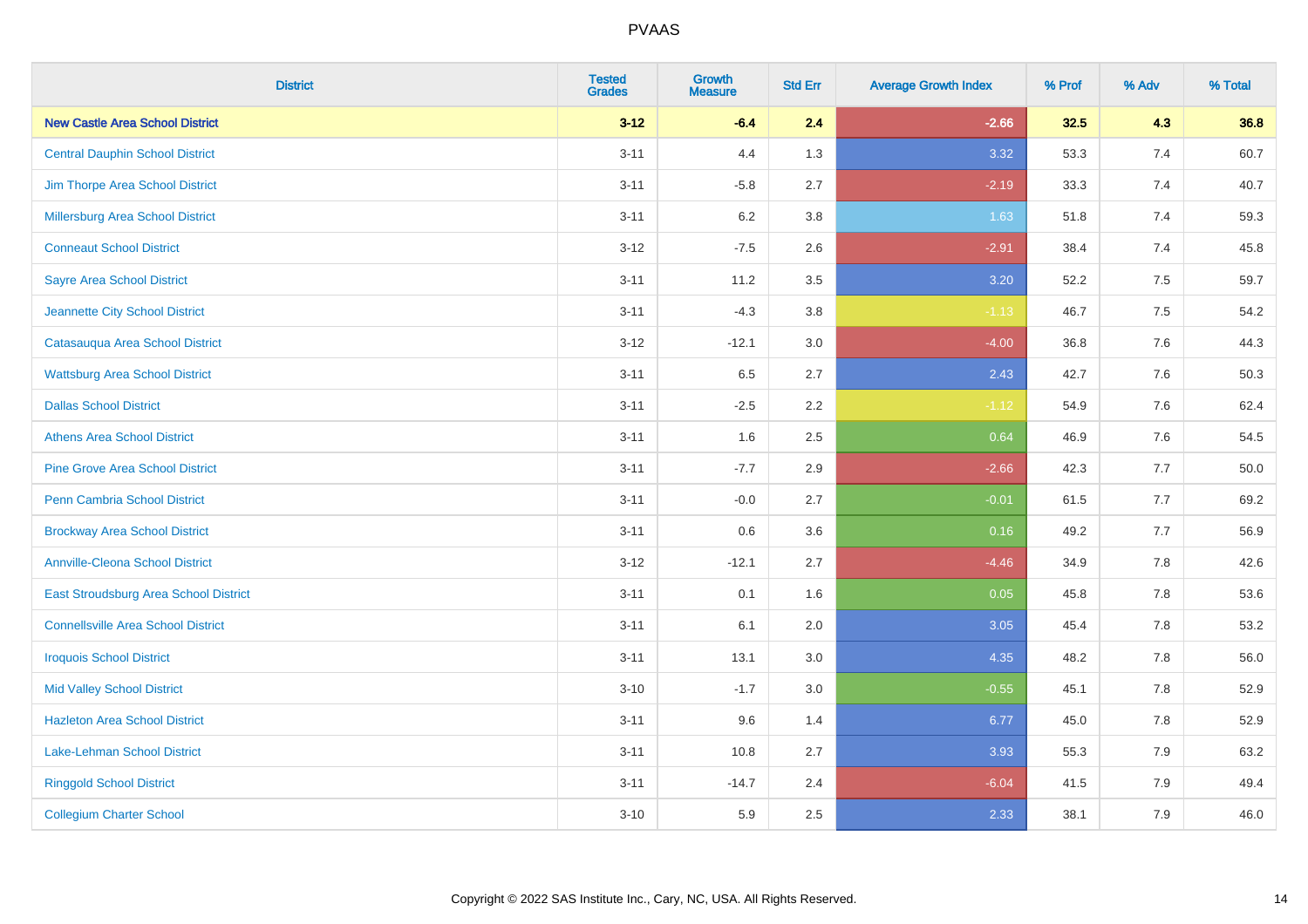| <b>District</b>                           | <b>Tested</b><br><b>Grades</b> | <b>Growth</b><br><b>Measure</b> | <b>Std Err</b> | <b>Average Growth Index</b> | % Prof | % Adv | % Total |
|-------------------------------------------|--------------------------------|---------------------------------|----------------|-----------------------------|--------|-------|---------|
| <b>New Castle Area School District</b>    | $3 - 12$                       | $-6.4$                          | 2.4            | $-2.66$                     | 32.5   | 4.3   | 36.8    |
| <b>Central Dauphin School District</b>    | $3 - 11$                       | 4.4                             | 1.3            | 3.32                        | 53.3   | 7.4   | 60.7    |
| Jim Thorpe Area School District           | $3 - 11$                       | $-5.8$                          | 2.7            | $-2.19$                     | 33.3   | 7.4   | 40.7    |
| Millersburg Area School District          | $3 - 11$                       | 6.2                             | 3.8            | 1.63                        | 51.8   | 7.4   | 59.3    |
| <b>Conneaut School District</b>           | $3-12$                         | $-7.5$                          | 2.6            | $-2.91$                     | 38.4   | 7.4   | 45.8    |
| <b>Sayre Area School District</b>         | $3 - 11$                       | 11.2                            | 3.5            | $3.20$                      | 52.2   | 7.5   | 59.7    |
| Jeannette City School District            | $3 - 11$                       | $-4.3$                          | 3.8            | $-1.13$                     | 46.7   | 7.5   | 54.2    |
| Catasauqua Area School District           | $3-12$                         | $-12.1$                         | 3.0            | $-4.00$                     | 36.8   | 7.6   | 44.3    |
| <b>Wattsburg Area School District</b>     | $3 - 11$                       | 6.5                             | 2.7            | 2.43                        | 42.7   | 7.6   | 50.3    |
| <b>Dallas School District</b>             | $3 - 11$                       | $-2.5$                          | 2.2            | $-1.12$                     | 54.9   | 7.6   | 62.4    |
| <b>Athens Area School District</b>        | $3 - 11$                       | 1.6                             | 2.5            | 0.64                        | 46.9   | 7.6   | 54.5    |
| <b>Pine Grove Area School District</b>    | $3 - 11$                       | $-7.7$                          | 2.9            | $-2.66$                     | 42.3   | 7.7   | 50.0    |
| Penn Cambria School District              | $3 - 11$                       | $-0.0$                          | 2.7            | $-0.01$                     | 61.5   | $7.7$ | 69.2    |
| <b>Brockway Area School District</b>      | $3 - 11$                       | 0.6                             | 3.6            | 0.16                        | 49.2   | 7.7   | 56.9    |
| <b>Annville-Cleona School District</b>    | $3 - 12$                       | $-12.1$                         | 2.7            | $-4.46$                     | 34.9   | 7.8   | 42.6    |
| East Stroudsburg Area School District     | $3 - 11$                       | 0.1                             | 1.6            | 0.05                        | 45.8   | 7.8   | 53.6    |
| <b>Connellsville Area School District</b> | $3 - 11$                       | 6.1                             | 2.0            | 3.05                        | 45.4   | 7.8   | 53.2    |
| <b>Iroquois School District</b>           | $3 - 11$                       | 13.1                            | 3.0            | 4.35                        | 48.2   | 7.8   | 56.0    |
| <b>Mid Valley School District</b>         | $3 - 10$                       | $-1.7$                          | 3.0            | $-0.55$                     | 45.1   | 7.8   | 52.9    |
| <b>Hazleton Area School District</b>      | $3 - 11$                       | 9.6                             | 1.4            | 6.77                        | 45.0   | 7.8   | 52.9    |
| Lake-Lehman School District               | $3 - 11$                       | 10.8                            | 2.7            | 3.93                        | 55.3   | 7.9   | 63.2    |
| <b>Ringgold School District</b>           | $3 - 11$                       | $-14.7$                         | 2.4            | $-6.04$                     | 41.5   | 7.9   | 49.4    |
| <b>Collegium Charter School</b>           | $3 - 10$                       | 5.9                             | 2.5            | 2.33                        | 38.1   | 7.9   | 46.0    |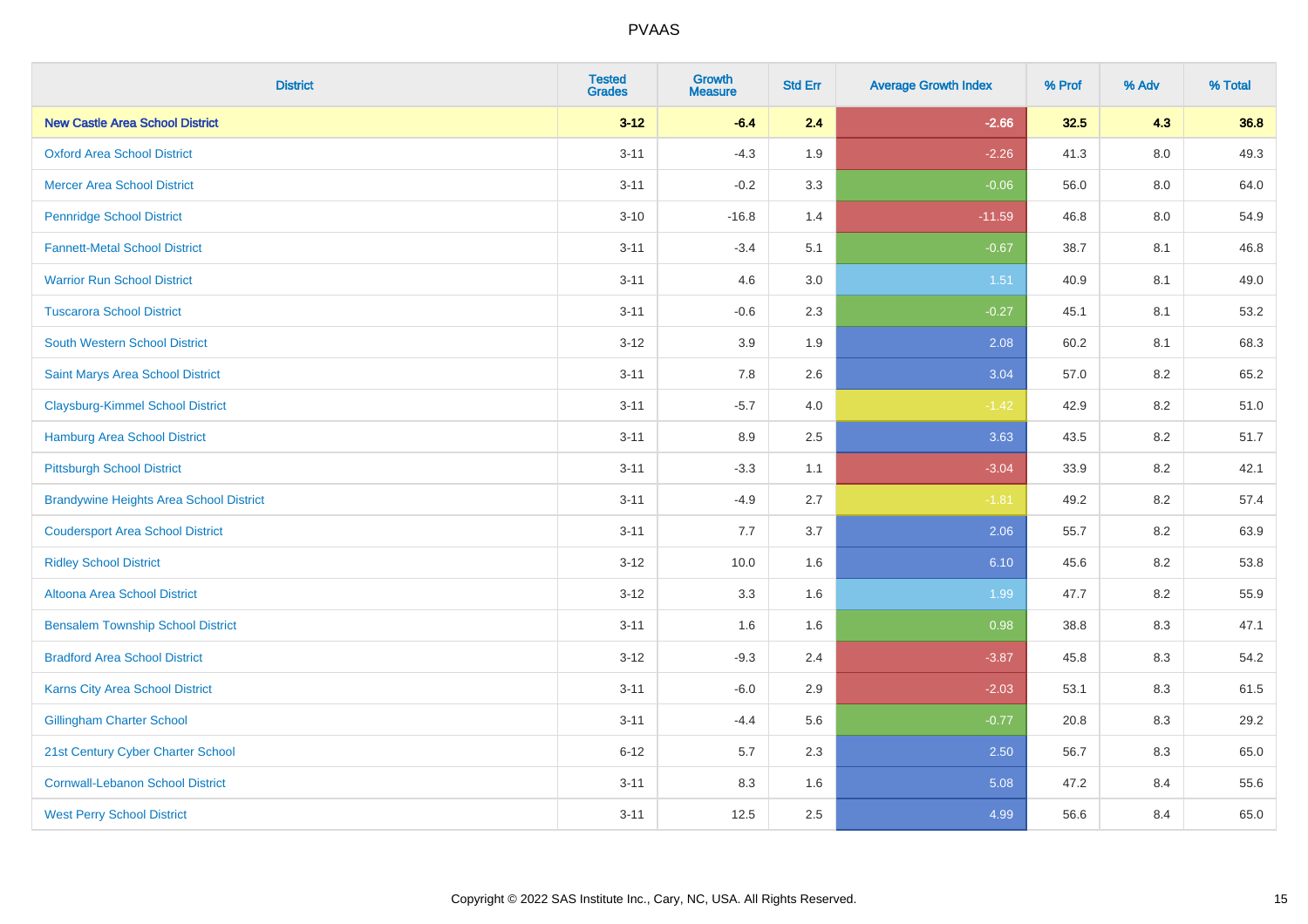| <b>District</b>                                | <b>Tested</b><br><b>Grades</b> | <b>Growth</b><br><b>Measure</b> | <b>Std Err</b> | <b>Average Growth Index</b> | % Prof | % Adv   | % Total |
|------------------------------------------------|--------------------------------|---------------------------------|----------------|-----------------------------|--------|---------|---------|
| <b>New Castle Area School District</b>         | $3 - 12$                       | $-6.4$                          | 2.4            | $-2.66$                     | 32.5   | 4.3     | 36.8    |
| <b>Oxford Area School District</b>             | $3 - 11$                       | $-4.3$                          | 1.9            | $-2.26$                     | 41.3   | $8.0\,$ | 49.3    |
| <b>Mercer Area School District</b>             | $3 - 11$                       | $-0.2$                          | 3.3            | $-0.06$                     | 56.0   | 8.0     | 64.0    |
| <b>Pennridge School District</b>               | $3 - 10$                       | $-16.8$                         | 1.4            | $-11.59$                    | 46.8   | $8.0\,$ | 54.9    |
| <b>Fannett-Metal School District</b>           | $3 - 11$                       | $-3.4$                          | 5.1            | $-0.67$                     | 38.7   | 8.1     | 46.8    |
| <b>Warrior Run School District</b>             | $3 - 11$                       | 4.6                             | 3.0            | 1.51                        | 40.9   | 8.1     | 49.0    |
| <b>Tuscarora School District</b>               | $3 - 11$                       | $-0.6$                          | 2.3            | $-0.27$                     | 45.1   | 8.1     | 53.2    |
| <b>South Western School District</b>           | $3 - 12$                       | 3.9                             | 1.9            | 2.08                        | 60.2   | 8.1     | 68.3    |
| Saint Marys Area School District               | $3 - 11$                       | 7.8                             | 2.6            | 3.04                        | 57.0   | 8.2     | 65.2    |
| <b>Claysburg-Kimmel School District</b>        | $3 - 11$                       | $-5.7$                          | 4.0            | $-1.42$                     | 42.9   | $8.2\,$ | 51.0    |
| <b>Hamburg Area School District</b>            | $3 - 11$                       | 8.9                             | 2.5            | 3.63                        | 43.5   | 8.2     | 51.7    |
| <b>Pittsburgh School District</b>              | $3 - 11$                       | $-3.3$                          | 1.1            | $-3.04$                     | 33.9   | 8.2     | 42.1    |
| <b>Brandywine Heights Area School District</b> | $3 - 11$                       | $-4.9$                          | 2.7            | $-1.81$                     | 49.2   | 8.2     | 57.4    |
| <b>Coudersport Area School District</b>        | $3 - 11$                       | $7.7\,$                         | 3.7            | 2.06                        | 55.7   | 8.2     | 63.9    |
| <b>Ridley School District</b>                  | $3 - 12$                       | 10.0                            | 1.6            | 6.10                        | 45.6   | 8.2     | 53.8    |
| <b>Altoona Area School District</b>            | $3 - 12$                       | 3.3                             | 1.6            | 1.99                        | 47.7   | 8.2     | 55.9    |
| <b>Bensalem Township School District</b>       | $3 - 11$                       | 1.6                             | 1.6            | 0.98                        | 38.8   | 8.3     | 47.1    |
| <b>Bradford Area School District</b>           | $3 - 12$                       | $-9.3$                          | 2.4            | $-3.87$                     | 45.8   | 8.3     | 54.2    |
| Karns City Area School District                | $3 - 11$                       | $-6.0$                          | 2.9            | $-2.03$                     | 53.1   | 8.3     | 61.5    |
| <b>Gillingham Charter School</b>               | $3 - 11$                       | $-4.4$                          | 5.6            | $-0.77$                     | 20.8   | 8.3     | 29.2    |
| 21st Century Cyber Charter School              | $6 - 12$                       | 5.7                             | 2.3            | 2.50                        | 56.7   | 8.3     | 65.0    |
| <b>Cornwall-Lebanon School District</b>        | $3 - 11$                       | 8.3                             | 1.6            | 5.08                        | 47.2   | 8.4     | 55.6    |
| <b>West Perry School District</b>              | $3 - 11$                       | 12.5                            | 2.5            | 4.99                        | 56.6   | 8.4     | 65.0    |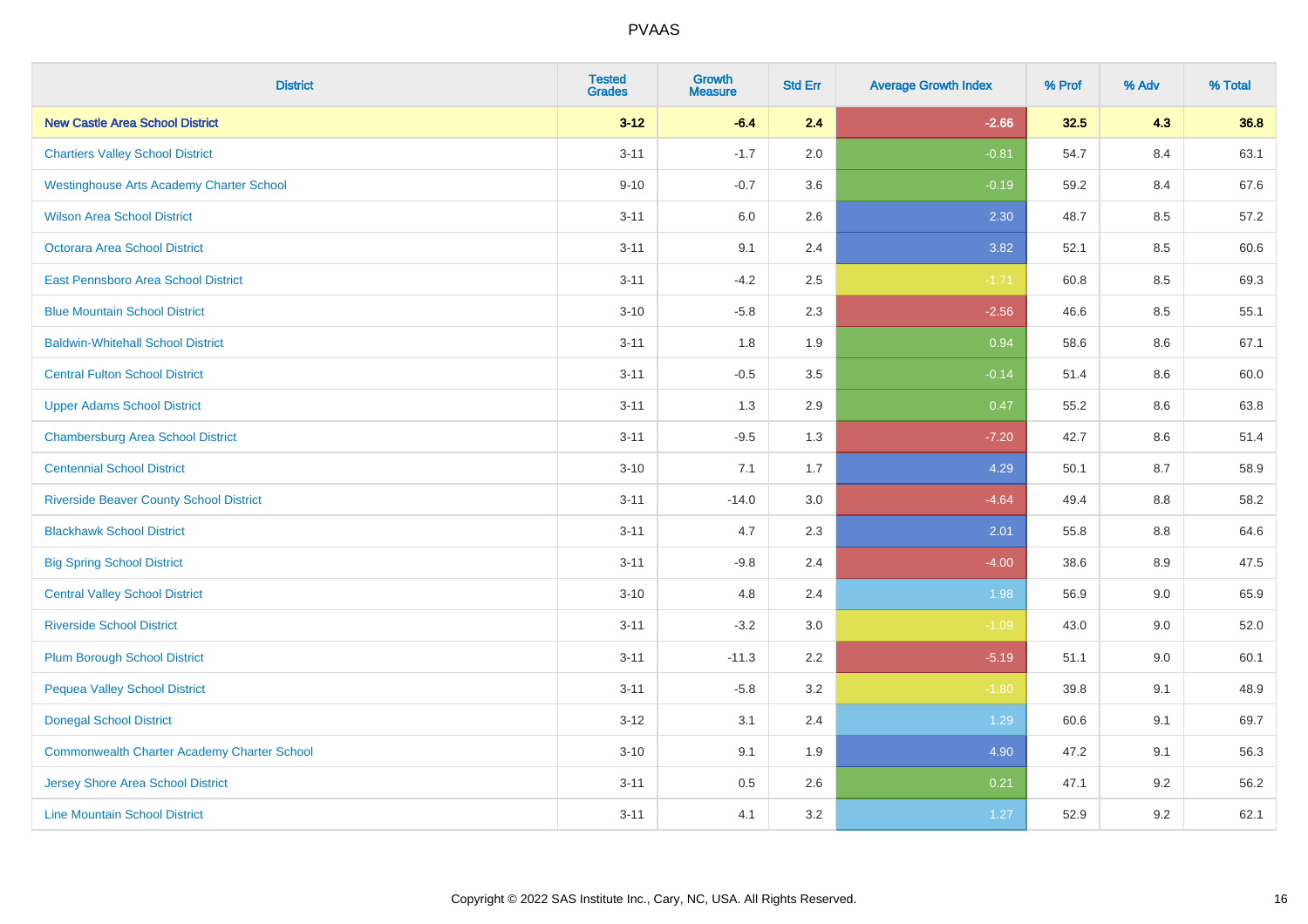| <b>District</b>                                 | <b>Tested</b><br><b>Grades</b> | <b>Growth</b><br><b>Measure</b> | <b>Std Err</b> | <b>Average Growth Index</b> | % Prof | % Adv   | % Total |
|-------------------------------------------------|--------------------------------|---------------------------------|----------------|-----------------------------|--------|---------|---------|
| <b>New Castle Area School District</b>          | $3 - 12$                       | $-6.4$                          | 2.4            | $-2.66$                     | 32.5   | 4.3     | 36.8    |
| <b>Chartiers Valley School District</b>         | $3 - 11$                       | $-1.7$                          | 2.0            | $-0.81$                     | 54.7   | 8.4     | 63.1    |
| <b>Westinghouse Arts Academy Charter School</b> | $9 - 10$                       | $-0.7$                          | 3.6            | $-0.19$                     | 59.2   | 8.4     | 67.6    |
| <b>Wilson Area School District</b>              | $3 - 11$                       | 6.0                             | 2.6            | 2.30                        | 48.7   | 8.5     | 57.2    |
| <b>Octorara Area School District</b>            | $3 - 11$                       | 9.1                             | 2.4            | 3.82                        | 52.1   | 8.5     | 60.6    |
| <b>East Pennsboro Area School District</b>      | $3 - 11$                       | $-4.2$                          | 2.5            | $-1.71$                     | 60.8   | 8.5     | 69.3    |
| <b>Blue Mountain School District</b>            | $3 - 10$                       | $-5.8$                          | 2.3            | $-2.56$                     | 46.6   | 8.5     | 55.1    |
| <b>Baldwin-Whitehall School District</b>        | $3 - 11$                       | 1.8                             | 1.9            | 0.94                        | 58.6   | 8.6     | 67.1    |
| <b>Central Fulton School District</b>           | $3 - 11$                       | $-0.5$                          | 3.5            | $-0.14$                     | 51.4   | 8.6     | 60.0    |
| <b>Upper Adams School District</b>              | $3 - 11$                       | 1.3                             | 2.9            | 0.47                        | 55.2   | 8.6     | 63.8    |
| <b>Chambersburg Area School District</b>        | $3 - 11$                       | $-9.5$                          | 1.3            | $-7.20$                     | 42.7   | 8.6     | 51.4    |
| <b>Centennial School District</b>               | $3 - 10$                       | 7.1                             | 1.7            | 4.29                        | 50.1   | 8.7     | 58.9    |
| <b>Riverside Beaver County School District</b>  | $3 - 11$                       | $-14.0$                         | 3.0            | $-4.64$                     | 49.4   | $8.8\,$ | 58.2    |
| <b>Blackhawk School District</b>                | $3 - 11$                       | 4.7                             | 2.3            | 2.01                        | 55.8   | 8.8     | 64.6    |
| <b>Big Spring School District</b>               | $3 - 11$                       | $-9.8$                          | 2.4            | $-4.00$                     | 38.6   | 8.9     | 47.5    |
| <b>Central Valley School District</b>           | $3 - 10$                       | 4.8                             | 2.4            | 1.98                        | 56.9   | 9.0     | 65.9    |
| <b>Riverside School District</b>                | $3 - 11$                       | $-3.2$                          | 3.0            | $-1.09$                     | 43.0   | 9.0     | 52.0    |
| <b>Plum Borough School District</b>             | $3 - 11$                       | $-11.3$                         | 2.2            | $-5.19$                     | 51.1   | 9.0     | 60.1    |
| <b>Pequea Valley School District</b>            | $3 - 11$                       | $-5.8$                          | 3.2            | $-1.80$                     | 39.8   | 9.1     | 48.9    |
| <b>Donegal School District</b>                  | $3 - 12$                       | 3.1                             | 2.4            | 1.29                        | 60.6   | 9.1     | 69.7    |
| Commonwealth Charter Academy Charter School     | $3 - 10$                       | 9.1                             | 1.9            | 4.90                        | 47.2   | 9.1     | 56.3    |
| <b>Jersey Shore Area School District</b>        | $3 - 11$                       | $0.5\,$                         | 2.6            | 0.21                        | 47.1   | 9.2     | 56.2    |
| <b>Line Mountain School District</b>            | $3 - 11$                       | 4.1                             | 3.2            | 1.27                        | 52.9   | 9.2     | 62.1    |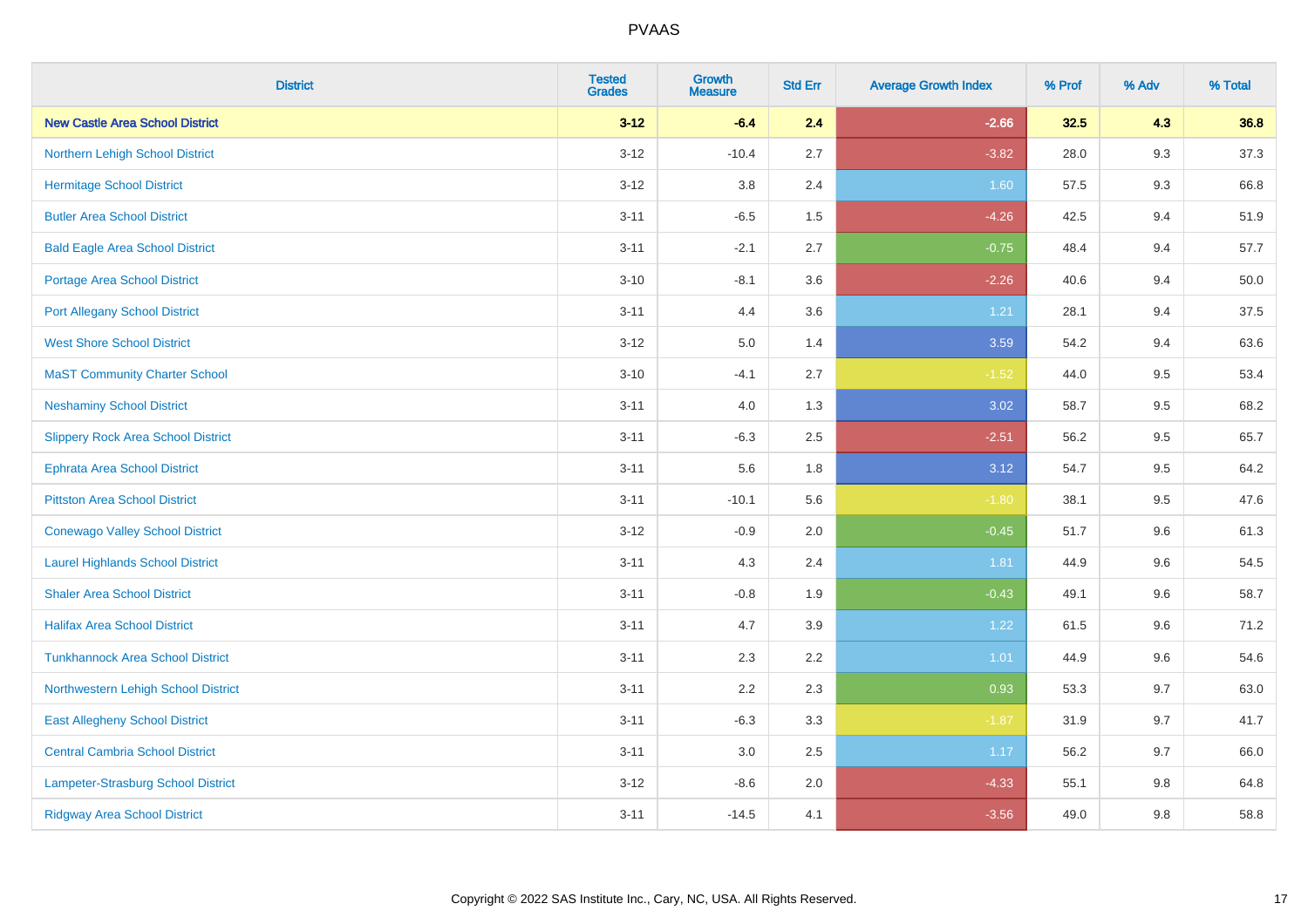| <b>District</b>                           | <b>Tested</b><br><b>Grades</b> | <b>Growth</b><br><b>Measure</b> | <b>Std Err</b> | <b>Average Growth Index</b> | % Prof | % Adv | % Total |
|-------------------------------------------|--------------------------------|---------------------------------|----------------|-----------------------------|--------|-------|---------|
| <b>New Castle Area School District</b>    | $3 - 12$                       | $-6.4$                          | 2.4            | $-2.66$                     | 32.5   | 4.3   | 36.8    |
| Northern Lehigh School District           | $3 - 12$                       | $-10.4$                         | 2.7            | $-3.82$                     | 28.0   | 9.3   | 37.3    |
| <b>Hermitage School District</b>          | $3 - 12$                       | 3.8                             | 2.4            | 1.60                        | 57.5   | 9.3   | 66.8    |
| <b>Butler Area School District</b>        | $3 - 11$                       | $-6.5$                          | 1.5            | $-4.26$                     | 42.5   | 9.4   | 51.9    |
| <b>Bald Eagle Area School District</b>    | $3 - 11$                       | $-2.1$                          | 2.7            | $-0.75$                     | 48.4   | 9.4   | 57.7    |
| <b>Portage Area School District</b>       | $3 - 10$                       | $-8.1$                          | 3.6            | $-2.26$                     | 40.6   | 9.4   | 50.0    |
| <b>Port Allegany School District</b>      | $3 - 11$                       | 4.4                             | 3.6            | 1.21                        | 28.1   | 9.4   | 37.5    |
| <b>West Shore School District</b>         | $3 - 12$                       | 5.0                             | 1.4            | 3.59                        | 54.2   | 9.4   | 63.6    |
| <b>MaST Community Charter School</b>      | $3 - 10$                       | $-4.1$                          | 2.7            | $-1.52$                     | 44.0   | 9.5   | 53.4    |
| <b>Neshaminy School District</b>          | $3 - 11$                       | 4.0                             | 1.3            | 3.02                        | 58.7   | 9.5   | 68.2    |
| <b>Slippery Rock Area School District</b> | $3 - 11$                       | $-6.3$                          | 2.5            | $-2.51$                     | 56.2   | 9.5   | 65.7    |
| Ephrata Area School District              | $3 - 11$                       | 5.6                             | 1.8            | 3.12                        | 54.7   | 9.5   | 64.2    |
| <b>Pittston Area School District</b>      | $3 - 11$                       | $-10.1$                         | 5.6            | $-1.80$                     | 38.1   | 9.5   | 47.6    |
| <b>Conewago Valley School District</b>    | $3 - 12$                       | $-0.9$                          | 2.0            | $-0.45$                     | 51.7   | 9.6   | 61.3    |
| <b>Laurel Highlands School District</b>   | $3 - 11$                       | 4.3                             | 2.4            | 1.81                        | 44.9   | 9.6   | 54.5    |
| <b>Shaler Area School District</b>        | $3 - 11$                       | $-0.8$                          | 1.9            | $-0.43$                     | 49.1   | 9.6   | 58.7    |
| <b>Halifax Area School District</b>       | $3 - 11$                       | 4.7                             | 3.9            | 1.22                        | 61.5   | 9.6   | 71.2    |
| <b>Tunkhannock Area School District</b>   | $3 - 11$                       | 2.3                             | 2.2            | 1.01                        | 44.9   | 9.6   | 54.6    |
| Northwestern Lehigh School District       | $3 - 11$                       | 2.2                             | 2.3            | 0.93                        | 53.3   | 9.7   | 63.0    |
| <b>East Allegheny School District</b>     | $3 - 11$                       | $-6.3$                          | 3.3            | $-1.87$                     | 31.9   | 9.7   | 41.7    |
| <b>Central Cambria School District</b>    | $3 - 11$                       | 3.0                             | 2.5            | 1.17                        | 56.2   | 9.7   | 66.0    |
| Lampeter-Strasburg School District        | $3 - 12$                       | $-8.6$                          | 2.0            | $-4.33$                     | 55.1   | 9.8   | 64.8    |
| <b>Ridgway Area School District</b>       | $3 - 11$                       | $-14.5$                         | 4.1            | $-3.56$                     | 49.0   | 9.8   | 58.8    |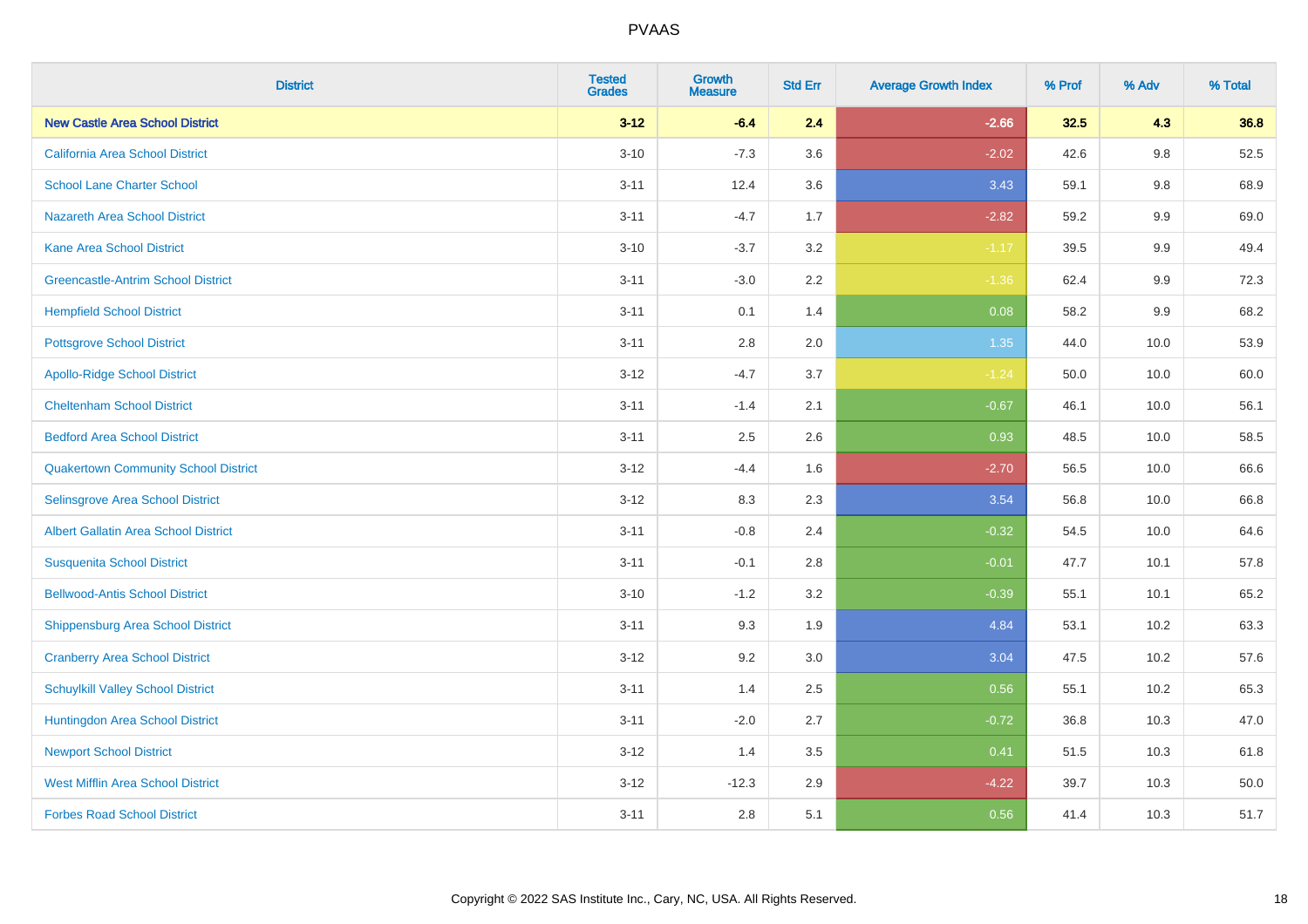| <b>District</b>                             | <b>Tested</b><br><b>Grades</b> | Growth<br><b>Measure</b> | <b>Std Err</b> | <b>Average Growth Index</b> | % Prof | % Adv | % Total |
|---------------------------------------------|--------------------------------|--------------------------|----------------|-----------------------------|--------|-------|---------|
| <b>New Castle Area School District</b>      | $3 - 12$                       | $-6.4$                   | 2.4            | $-2.66$                     | 32.5   | 4.3   | 36.8    |
| California Area School District             | $3 - 10$                       | $-7.3$                   | 3.6            | $-2.02$                     | 42.6   | 9.8   | 52.5    |
| <b>School Lane Charter School</b>           | $3 - 11$                       | 12.4                     | 3.6            | 3.43                        | 59.1   | 9.8   | 68.9    |
| <b>Nazareth Area School District</b>        | $3 - 11$                       | $-4.7$                   | 1.7            | $-2.82$                     | 59.2   | 9.9   | 69.0    |
| Kane Area School District                   | $3 - 10$                       | $-3.7$                   | 3.2            | $-1.17$                     | 39.5   | 9.9   | 49.4    |
| <b>Greencastle-Antrim School District</b>   | $3 - 11$                       | $-3.0$                   | 2.2            | $-1.36$                     | 62.4   | 9.9   | 72.3    |
| <b>Hempfield School District</b>            | $3 - 11$                       | 0.1                      | 1.4            | 0.08                        | 58.2   | 9.9   | 68.2    |
| <b>Pottsgrove School District</b>           | $3 - 11$                       | $2.8\,$                  | 2.0            | 1.35                        | 44.0   | 10.0  | 53.9    |
| <b>Apollo-Ridge School District</b>         | $3 - 12$                       | $-4.7$                   | 3.7            | $-1.24$                     | 50.0   | 10.0  | 60.0    |
| <b>Cheltenham School District</b>           | $3 - 11$                       | $-1.4$                   | 2.1            | $-0.67$                     | 46.1   | 10.0  | 56.1    |
| <b>Bedford Area School District</b>         | $3 - 11$                       | 2.5                      | 2.6            | 0.93                        | 48.5   | 10.0  | 58.5    |
| <b>Quakertown Community School District</b> | $3-12$                         | $-4.4$                   | 1.6            | $-2.70$                     | 56.5   | 10.0  | 66.6    |
| Selinsgrove Area School District            | $3 - 12$                       | 8.3                      | 2.3            | 3.54                        | 56.8   | 10.0  | 66.8    |
| <b>Albert Gallatin Area School District</b> | $3 - 11$                       | $-0.8$                   | 2.4            | $-0.32$                     | 54.5   | 10.0  | 64.6    |
| <b>Susquenita School District</b>           | $3 - 11$                       | $-0.1$                   | $2.8\,$        | $-0.01$                     | 47.7   | 10.1  | 57.8    |
| <b>Bellwood-Antis School District</b>       | $3 - 10$                       | $-1.2$                   | 3.2            | $-0.39$                     | 55.1   | 10.1  | 65.2    |
| <b>Shippensburg Area School District</b>    | $3 - 11$                       | 9.3                      | 1.9            | 4.84                        | 53.1   | 10.2  | 63.3    |
| <b>Cranberry Area School District</b>       | $3 - 12$                       | 9.2                      | 3.0            | 3.04                        | 47.5   | 10.2  | 57.6    |
| <b>Schuylkill Valley School District</b>    | $3 - 11$                       | 1.4                      | 2.5            | 0.56                        | 55.1   | 10.2  | 65.3    |
| Huntingdon Area School District             | $3 - 11$                       | $-2.0$                   | 2.7            | $-0.72$                     | 36.8   | 10.3  | 47.0    |
| <b>Newport School District</b>              | $3 - 12$                       | 1.4                      | 3.5            | 0.41                        | 51.5   | 10.3  | 61.8    |
| <b>West Mifflin Area School District</b>    | $3 - 12$                       | $-12.3$                  | 2.9            | $-4.22$                     | 39.7   | 10.3  | 50.0    |
| <b>Forbes Road School District</b>          | $3 - 11$                       | 2.8                      | 5.1            | 0.56                        | 41.4   | 10.3  | 51.7    |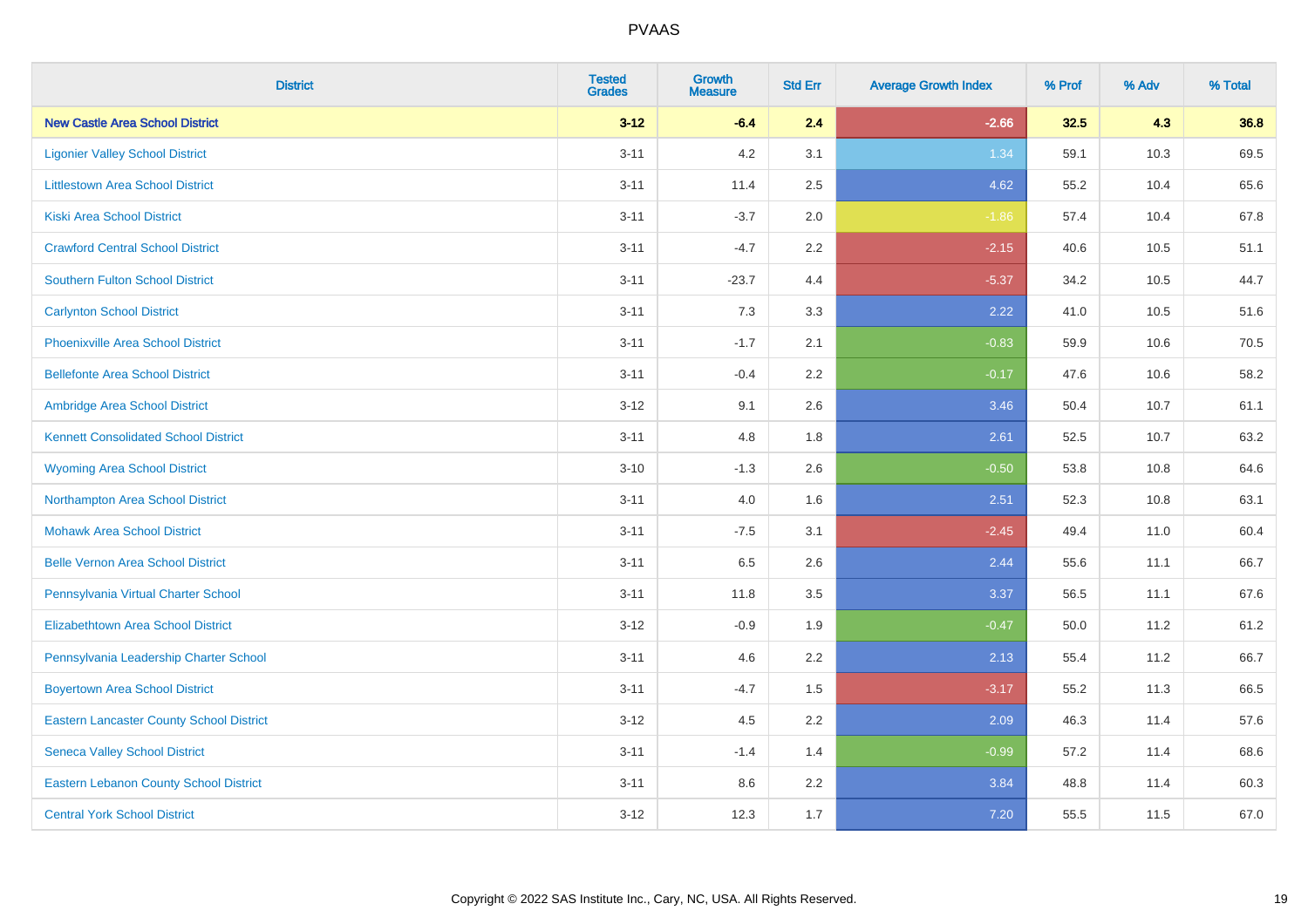| <b>District</b>                                 | <b>Tested</b><br><b>Grades</b> | <b>Growth</b><br><b>Measure</b> | <b>Std Err</b> | <b>Average Growth Index</b> | % Prof | % Adv | % Total |
|-------------------------------------------------|--------------------------------|---------------------------------|----------------|-----------------------------|--------|-------|---------|
| <b>New Castle Area School District</b>          | $3 - 12$                       | $-6.4$                          | 2.4            | $-2.66$                     | 32.5   | 4.3   | 36.8    |
| <b>Ligonier Valley School District</b>          | $3 - 11$                       | 4.2                             | 3.1            | 1.34                        | 59.1   | 10.3  | 69.5    |
| <b>Littlestown Area School District</b>         | $3 - 11$                       | 11.4                            | 2.5            | 4.62                        | 55.2   | 10.4  | 65.6    |
| <b>Kiski Area School District</b>               | $3 - 11$                       | $-3.7$                          | 2.0            | $-1.86$                     | 57.4   | 10.4  | 67.8    |
| <b>Crawford Central School District</b>         | $3 - 11$                       | $-4.7$                          | 2.2            | $-2.15$                     | 40.6   | 10.5  | 51.1    |
| <b>Southern Fulton School District</b>          | $3 - 11$                       | $-23.7$                         | 4.4            | $-5.37$                     | 34.2   | 10.5  | 44.7    |
| <b>Carlynton School District</b>                | $3 - 11$                       | 7.3                             | 3.3            | 2.22                        | 41.0   | 10.5  | 51.6    |
| <b>Phoenixville Area School District</b>        | $3 - 11$                       | $-1.7$                          | 2.1            | $-0.83$                     | 59.9   | 10.6  | 70.5    |
| <b>Bellefonte Area School District</b>          | $3 - 11$                       | $-0.4$                          | 2.2            | $-0.17$                     | 47.6   | 10.6  | 58.2    |
| Ambridge Area School District                   | $3 - 12$                       | 9.1                             | 2.6            | 3.46                        | 50.4   | 10.7  | 61.1    |
| <b>Kennett Consolidated School District</b>     | $3 - 11$                       | 4.8                             | 1.8            | 2.61                        | 52.5   | 10.7  | 63.2    |
| <b>Wyoming Area School District</b>             | $3 - 10$                       | $-1.3$                          | 2.6            | $-0.50$                     | 53.8   | 10.8  | 64.6    |
| Northampton Area School District                | $3 - 11$                       | 4.0                             | 1.6            | 2.51                        | 52.3   | 10.8  | 63.1    |
| <b>Mohawk Area School District</b>              | $3 - 11$                       | $-7.5$                          | 3.1            | $-2.45$                     | 49.4   | 11.0  | 60.4    |
| <b>Belle Vernon Area School District</b>        | $3 - 11$                       | 6.5                             | 2.6            | 2.44                        | 55.6   | 11.1  | 66.7    |
| Pennsylvania Virtual Charter School             | $3 - 11$                       | 11.8                            | 3.5            | 3.37                        | 56.5   | 11.1  | 67.6    |
| <b>Elizabethtown Area School District</b>       | $3 - 12$                       | $-0.9$                          | 1.9            | $-0.47$                     | 50.0   | 11.2  | 61.2    |
| Pennsylvania Leadership Charter School          | $3 - 11$                       | 4.6                             | 2.2            | 2.13                        | 55.4   | 11.2  | 66.7    |
| <b>Boyertown Area School District</b>           | $3 - 11$                       | $-4.7$                          | 1.5            | $-3.17$                     | 55.2   | 11.3  | 66.5    |
| <b>Eastern Lancaster County School District</b> | $3-12$                         | 4.5                             | 2.2            | 2.09                        | 46.3   | 11.4  | 57.6    |
| <b>Seneca Valley School District</b>            | $3 - 11$                       | $-1.4$                          | 1.4            | $-0.99$                     | 57.2   | 11.4  | 68.6    |
| <b>Eastern Lebanon County School District</b>   | $3 - 11$                       | 8.6                             | 2.2            | 3.84                        | 48.8   | 11.4  | 60.3    |
| <b>Central York School District</b>             | $3-12$                         | 12.3                            | 1.7            | 7.20                        | 55.5   | 11.5  | 67.0    |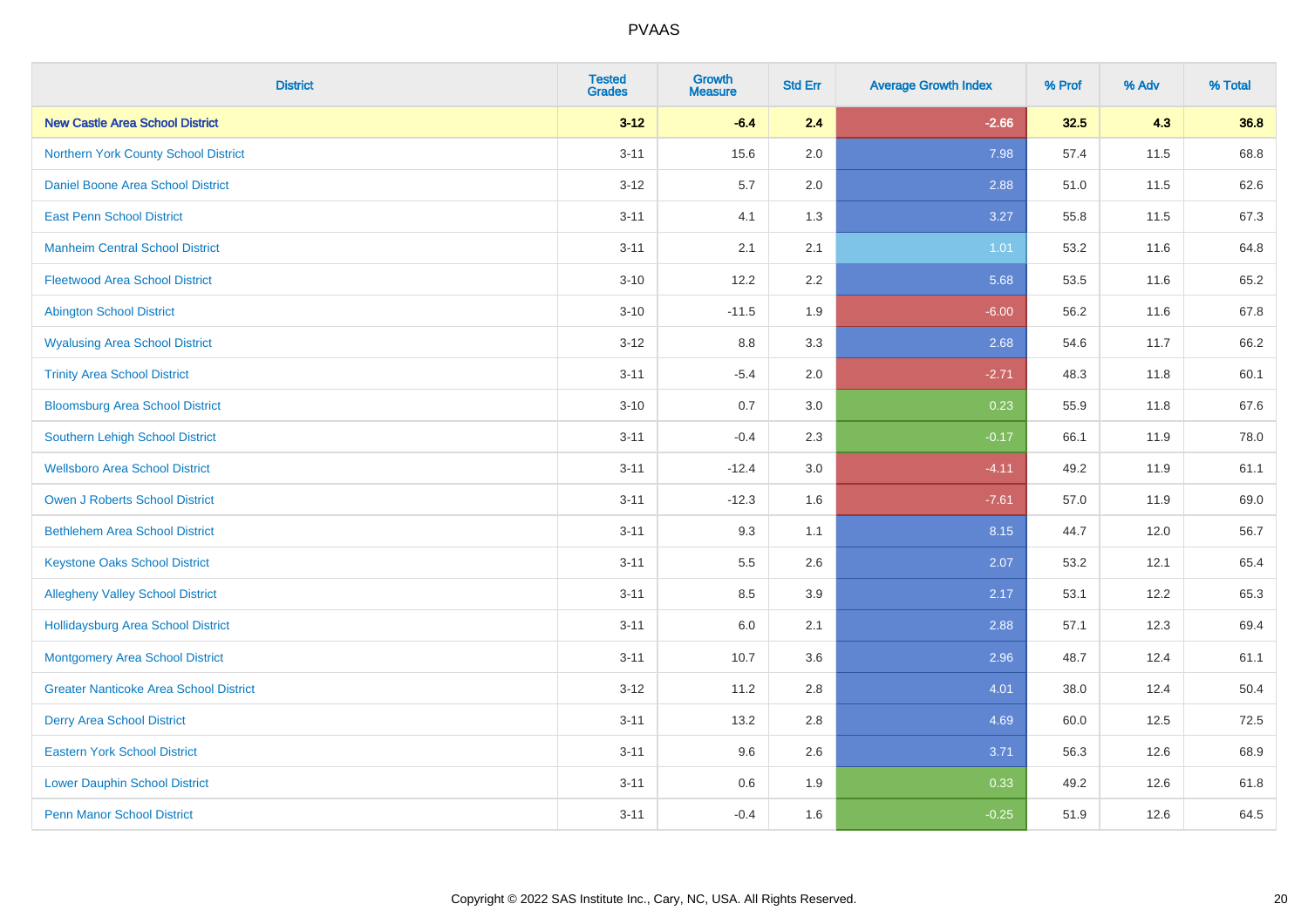| <b>District</b>                               | <b>Tested</b><br><b>Grades</b> | <b>Growth</b><br><b>Measure</b> | <b>Std Err</b> | <b>Average Growth Index</b> | % Prof | % Adv | % Total |
|-----------------------------------------------|--------------------------------|---------------------------------|----------------|-----------------------------|--------|-------|---------|
| <b>New Castle Area School District</b>        | $3 - 12$                       | $-6.4$                          | 2.4            | $-2.66$                     | 32.5   | 4.3   | 36.8    |
| Northern York County School District          | $3 - 11$                       | 15.6                            | 2.0            | 7.98                        | 57.4   | 11.5  | 68.8    |
| Daniel Boone Area School District             | $3 - 12$                       | 5.7                             | 2.0            | 2.88                        | 51.0   | 11.5  | 62.6    |
| <b>East Penn School District</b>              | $3 - 11$                       | 4.1                             | 1.3            | 3.27                        | 55.8   | 11.5  | 67.3    |
| <b>Manheim Central School District</b>        | $3 - 11$                       | 2.1                             | 2.1            | 1.01                        | 53.2   | 11.6  | 64.8    |
| <b>Fleetwood Area School District</b>         | $3 - 10$                       | 12.2                            | 2.2            | 5.68                        | 53.5   | 11.6  | 65.2    |
| <b>Abington School District</b>               | $3 - 10$                       | $-11.5$                         | 1.9            | $-6.00$                     | 56.2   | 11.6  | 67.8    |
| <b>Wyalusing Area School District</b>         | $3 - 12$                       | $8.8\,$                         | 3.3            | 2.68                        | 54.6   | 11.7  | 66.2    |
| <b>Trinity Area School District</b>           | $3 - 11$                       | $-5.4$                          | 2.0            | $-2.71$                     | 48.3   | 11.8  | 60.1    |
| <b>Bloomsburg Area School District</b>        | $3 - 10$                       | 0.7                             | 3.0            | 0.23                        | 55.9   | 11.8  | 67.6    |
| Southern Lehigh School District               | $3 - 11$                       | $-0.4$                          | 2.3            | $-0.17$                     | 66.1   | 11.9  | 78.0    |
| <b>Wellsboro Area School District</b>         | $3 - 11$                       | $-12.4$                         | 3.0            | $-4.11$                     | 49.2   | 11.9  | 61.1    |
| Owen J Roberts School District                | $3 - 11$                       | $-12.3$                         | 1.6            | $-7.61$                     | 57.0   | 11.9  | 69.0    |
| <b>Bethlehem Area School District</b>         | $3 - 11$                       | 9.3                             | 1.1            | 8.15                        | 44.7   | 12.0  | 56.7    |
| <b>Keystone Oaks School District</b>          | $3 - 11$                       | $5.5\,$                         | 2.6            | 2.07                        | 53.2   | 12.1  | 65.4    |
| <b>Allegheny Valley School District</b>       | $3 - 11$                       | 8.5                             | 3.9            | 2.17                        | 53.1   | 12.2  | 65.3    |
| <b>Hollidaysburg Area School District</b>     | $3 - 11$                       | 6.0                             | 2.1            | 2.88                        | 57.1   | 12.3  | 69.4    |
| Montgomery Area School District               | $3 - 11$                       | 10.7                            | 3.6            | 2.96                        | 48.7   | 12.4  | 61.1    |
| <b>Greater Nanticoke Area School District</b> | $3 - 12$                       | 11.2                            | 2.8            | 4.01                        | 38.0   | 12.4  | 50.4    |
| <b>Derry Area School District</b>             | $3 - 11$                       | 13.2                            | 2.8            | 4.69                        | 60.0   | 12.5  | 72.5    |
| <b>Eastern York School District</b>           | $3 - 11$                       | 9.6                             | 2.6            | 3.71                        | 56.3   | 12.6  | 68.9    |
| <b>Lower Dauphin School District</b>          | $3 - 11$                       | 0.6                             | 1.9            | 0.33                        | 49.2   | 12.6  | 61.8    |
| <b>Penn Manor School District</b>             | $3 - 11$                       | $-0.4$                          | 1.6            | $-0.25$                     | 51.9   | 12.6  | 64.5    |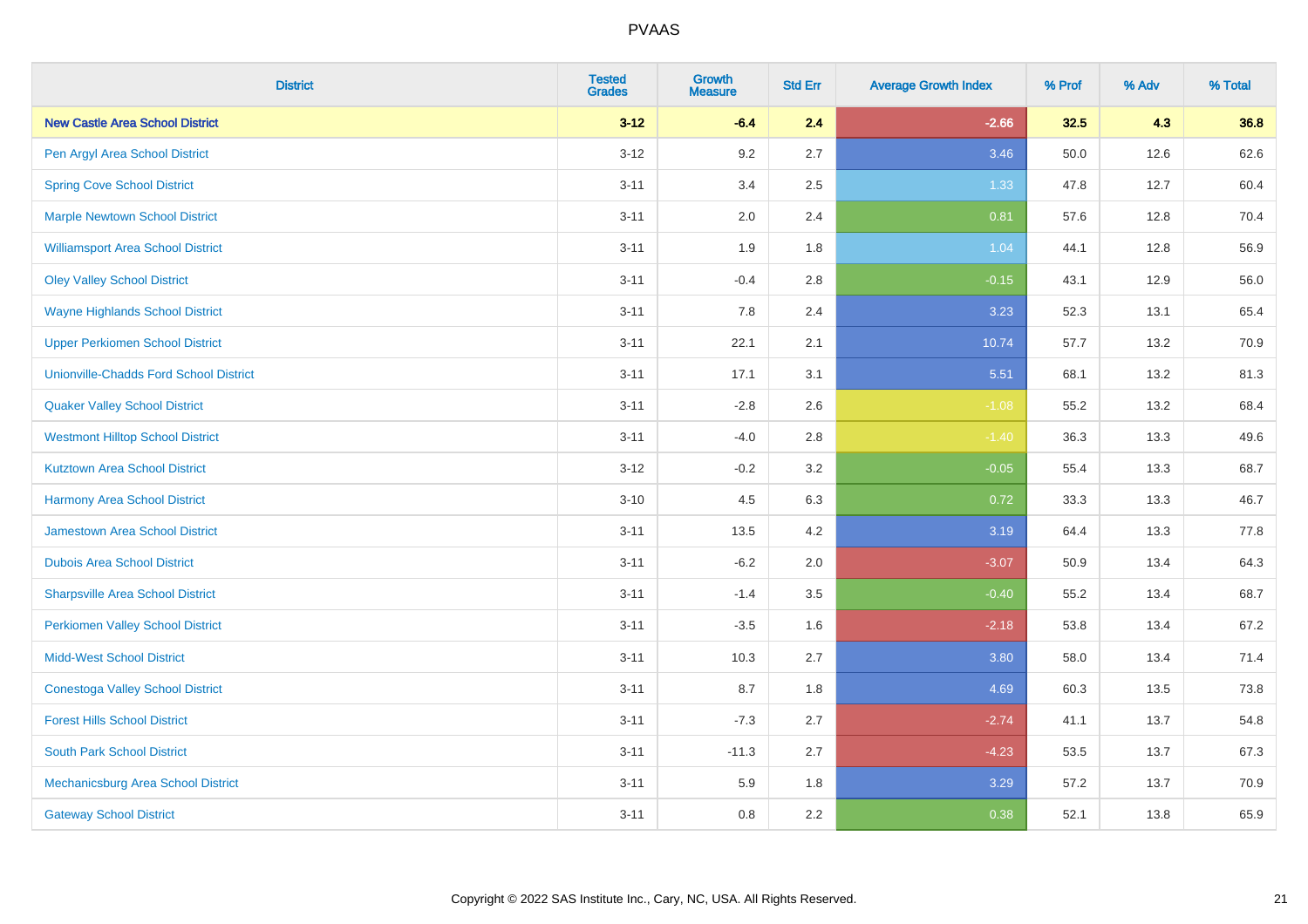| <b>District</b>                               | <b>Tested</b><br><b>Grades</b> | <b>Growth</b><br><b>Measure</b> | <b>Std Err</b> | <b>Average Growth Index</b> | % Prof | % Adv | % Total |
|-----------------------------------------------|--------------------------------|---------------------------------|----------------|-----------------------------|--------|-------|---------|
| <b>New Castle Area School District</b>        | $3 - 12$                       | $-6.4$                          | 2.4            | $-2.66$                     | 32.5   | 4.3   | 36.8    |
| Pen Argyl Area School District                | $3 - 12$                       | 9.2                             | 2.7            | 3.46                        | 50.0   | 12.6  | 62.6    |
| <b>Spring Cove School District</b>            | $3 - 11$                       | 3.4                             | 2.5            | 1.33                        | 47.8   | 12.7  | 60.4    |
| <b>Marple Newtown School District</b>         | $3 - 11$                       | 2.0                             | 2.4            | 0.81                        | 57.6   | 12.8  | 70.4    |
| <b>Williamsport Area School District</b>      | $3 - 11$                       | 1.9                             | 1.8            | 1.04                        | 44.1   | 12.8  | 56.9    |
| <b>Oley Valley School District</b>            | $3 - 11$                       | $-0.4$                          | 2.8            | $-0.15$                     | 43.1   | 12.9  | 56.0    |
| <b>Wayne Highlands School District</b>        | $3 - 11$                       | 7.8                             | 2.4            | 3.23                        | 52.3   | 13.1  | 65.4    |
| <b>Upper Perkiomen School District</b>        | $3 - 11$                       | 22.1                            | 2.1            | 10.74                       | 57.7   | 13.2  | 70.9    |
| <b>Unionville-Chadds Ford School District</b> | $3 - 11$                       | 17.1                            | 3.1            | 5.51                        | 68.1   | 13.2  | 81.3    |
| <b>Quaker Valley School District</b>          | $3 - 11$                       | $-2.8$                          | 2.6            | $-1.08$                     | 55.2   | 13.2  | 68.4    |
| <b>Westmont Hilltop School District</b>       | $3 - 11$                       | $-4.0$                          | $2.8\,$        | $-1.40$                     | 36.3   | 13.3  | 49.6    |
| <b>Kutztown Area School District</b>          | $3 - 12$                       | $-0.2$                          | 3.2            | $-0.05$                     | 55.4   | 13.3  | 68.7    |
| <b>Harmony Area School District</b>           | $3 - 10$                       | 4.5                             | 6.3            | 0.72                        | 33.3   | 13.3  | 46.7    |
| <b>Jamestown Area School District</b>         | $3 - 11$                       | 13.5                            | 4.2            | 3.19                        | 64.4   | 13.3  | 77.8    |
| <b>Dubois Area School District</b>            | $3 - 11$                       | $-6.2$                          | 2.0            | $-3.07$                     | 50.9   | 13.4  | 64.3    |
| <b>Sharpsville Area School District</b>       | $3 - 11$                       | $-1.4$                          | 3.5            | $-0.40$                     | 55.2   | 13.4  | 68.7    |
| <b>Perkiomen Valley School District</b>       | $3 - 11$                       | $-3.5$                          | 1.6            | $-2.18$                     | 53.8   | 13.4  | 67.2    |
| <b>Midd-West School District</b>              | $3 - 11$                       | 10.3                            | 2.7            | 3.80                        | 58.0   | 13.4  | 71.4    |
| <b>Conestoga Valley School District</b>       | $3 - 11$                       | 8.7                             | 1.8            | 4.69                        | 60.3   | 13.5  | 73.8    |
| <b>Forest Hills School District</b>           | $3 - 11$                       | $-7.3$                          | 2.7            | $-2.74$                     | 41.1   | 13.7  | 54.8    |
| <b>South Park School District</b>             | $3 - 11$                       | $-11.3$                         | 2.7            | $-4.23$                     | 53.5   | 13.7  | 67.3    |
| Mechanicsburg Area School District            | $3 - 11$                       | 5.9                             | 1.8            | 3.29                        | 57.2   | 13.7  | 70.9    |
| <b>Gateway School District</b>                | $3 - 11$                       | 0.8                             | 2.2            | 0.38                        | 52.1   | 13.8  | 65.9    |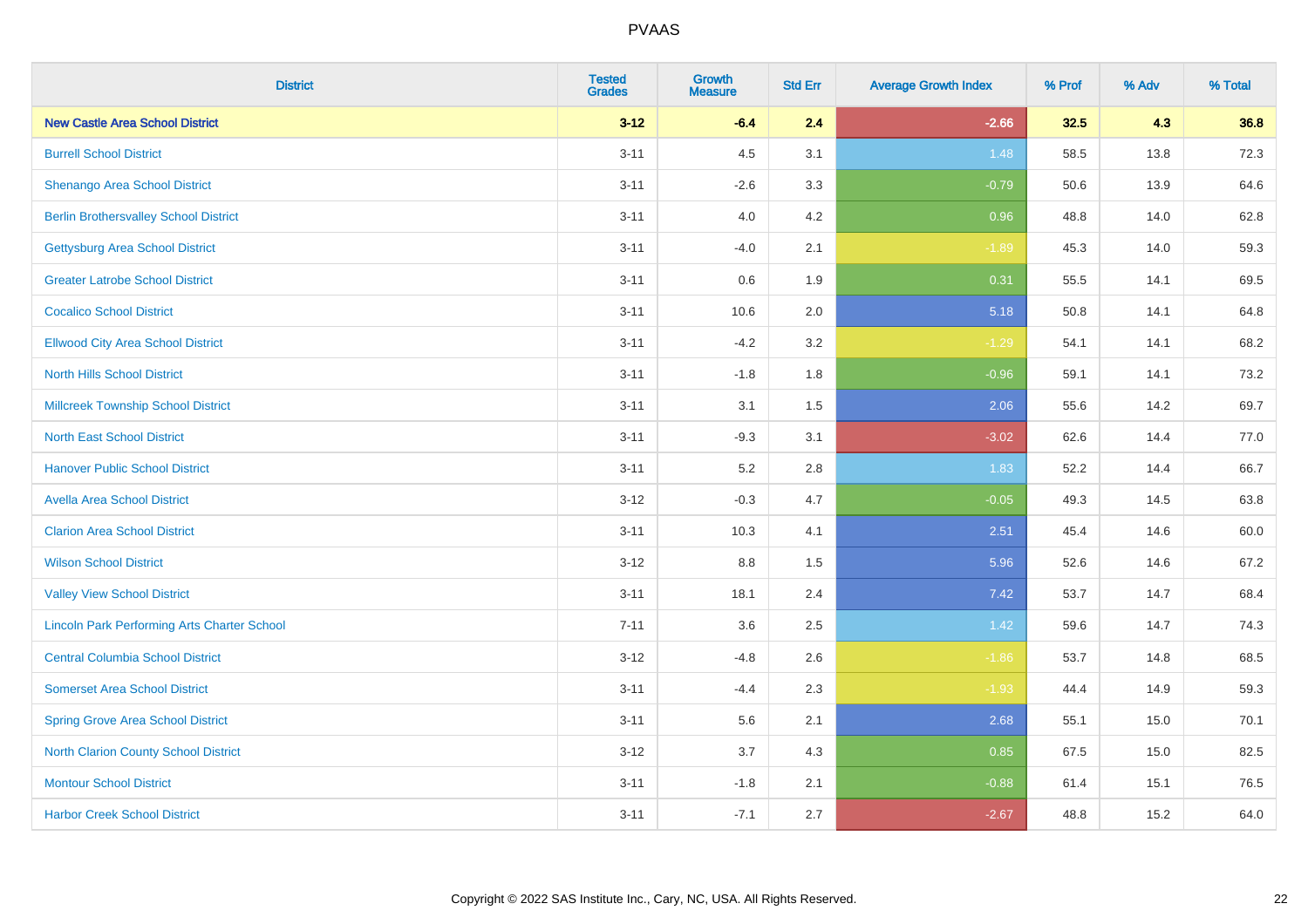| <b>District</b>                                    | <b>Tested</b><br><b>Grades</b> | <b>Growth</b><br><b>Measure</b> | <b>Std Err</b> | <b>Average Growth Index</b> | % Prof | % Adv | % Total |
|----------------------------------------------------|--------------------------------|---------------------------------|----------------|-----------------------------|--------|-------|---------|
| <b>New Castle Area School District</b>             | $3 - 12$                       | $-6.4$                          | 2.4            | $-2.66$                     | 32.5   | 4.3   | 36.8    |
| <b>Burrell School District</b>                     | $3 - 11$                       | 4.5                             | 3.1            | 1.48                        | 58.5   | 13.8  | 72.3    |
| Shenango Area School District                      | $3 - 11$                       | $-2.6$                          | 3.3            | $-0.79$                     | 50.6   | 13.9  | 64.6    |
| <b>Berlin Brothersvalley School District</b>       | $3 - 11$                       | 4.0                             | 4.2            | 0.96                        | 48.8   | 14.0  | 62.8    |
| <b>Gettysburg Area School District</b>             | $3 - 11$                       | $-4.0$                          | 2.1            | $-1.89$                     | 45.3   | 14.0  | 59.3    |
| <b>Greater Latrobe School District</b>             | $3 - 11$                       | $0.6\,$                         | 1.9            | 0.31                        | 55.5   | 14.1  | 69.5    |
| <b>Cocalico School District</b>                    | $3 - 11$                       | 10.6                            | 2.0            | 5.18                        | 50.8   | 14.1  | 64.8    |
| <b>Ellwood City Area School District</b>           | $3 - 11$                       | $-4.2$                          | 3.2            | $-1.29$                     | 54.1   | 14.1  | 68.2    |
| <b>North Hills School District</b>                 | $3 - 11$                       | $-1.8$                          | 1.8            | $-0.96$                     | 59.1   | 14.1  | 73.2    |
| <b>Millcreek Township School District</b>          | $3 - 11$                       | 3.1                             | 1.5            | 2.06                        | 55.6   | 14.2  | 69.7    |
| <b>North East School District</b>                  | $3 - 11$                       | $-9.3$                          | 3.1            | $-3.02$                     | 62.6   | 14.4  | 77.0    |
| <b>Hanover Public School District</b>              | $3 - 11$                       | 5.2                             | 2.8            | 1.83                        | 52.2   | 14.4  | 66.7    |
| <b>Avella Area School District</b>                 | $3 - 12$                       | $-0.3$                          | 4.7            | $-0.05$                     | 49.3   | 14.5  | 63.8    |
| <b>Clarion Area School District</b>                | $3 - 11$                       | 10.3                            | 4.1            | 2.51                        | 45.4   | 14.6  | 60.0    |
| <b>Wilson School District</b>                      | $3 - 12$                       | $8.8\,$                         | 1.5            | 5.96                        | 52.6   | 14.6  | 67.2    |
| <b>Valley View School District</b>                 | $3 - 11$                       | 18.1                            | 2.4            | 7.42                        | 53.7   | 14.7  | 68.4    |
| <b>Lincoln Park Performing Arts Charter School</b> | $7 - 11$                       | 3.6                             | 2.5            | 1.42                        | 59.6   | 14.7  | 74.3    |
| <b>Central Columbia School District</b>            | $3 - 12$                       | $-4.8$                          | 2.6            | $-1.86$                     | 53.7   | 14.8  | 68.5    |
| <b>Somerset Area School District</b>               | $3 - 11$                       | $-4.4$                          | 2.3            | $-1.93$                     | 44.4   | 14.9  | 59.3    |
| <b>Spring Grove Area School District</b>           | $3 - 11$                       | 5.6                             | 2.1            | 2.68                        | 55.1   | 15.0  | 70.1    |
| <b>North Clarion County School District</b>        | $3-12$                         | 3.7                             | 4.3            | 0.85                        | 67.5   | 15.0  | 82.5    |
| <b>Montour School District</b>                     | $3 - 11$                       | $-1.8$                          | 2.1            | $-0.88$                     | 61.4   | 15.1  | 76.5    |
| <b>Harbor Creek School District</b>                | $3 - 11$                       | $-7.1$                          | 2.7            | $-2.67$                     | 48.8   | 15.2  | 64.0    |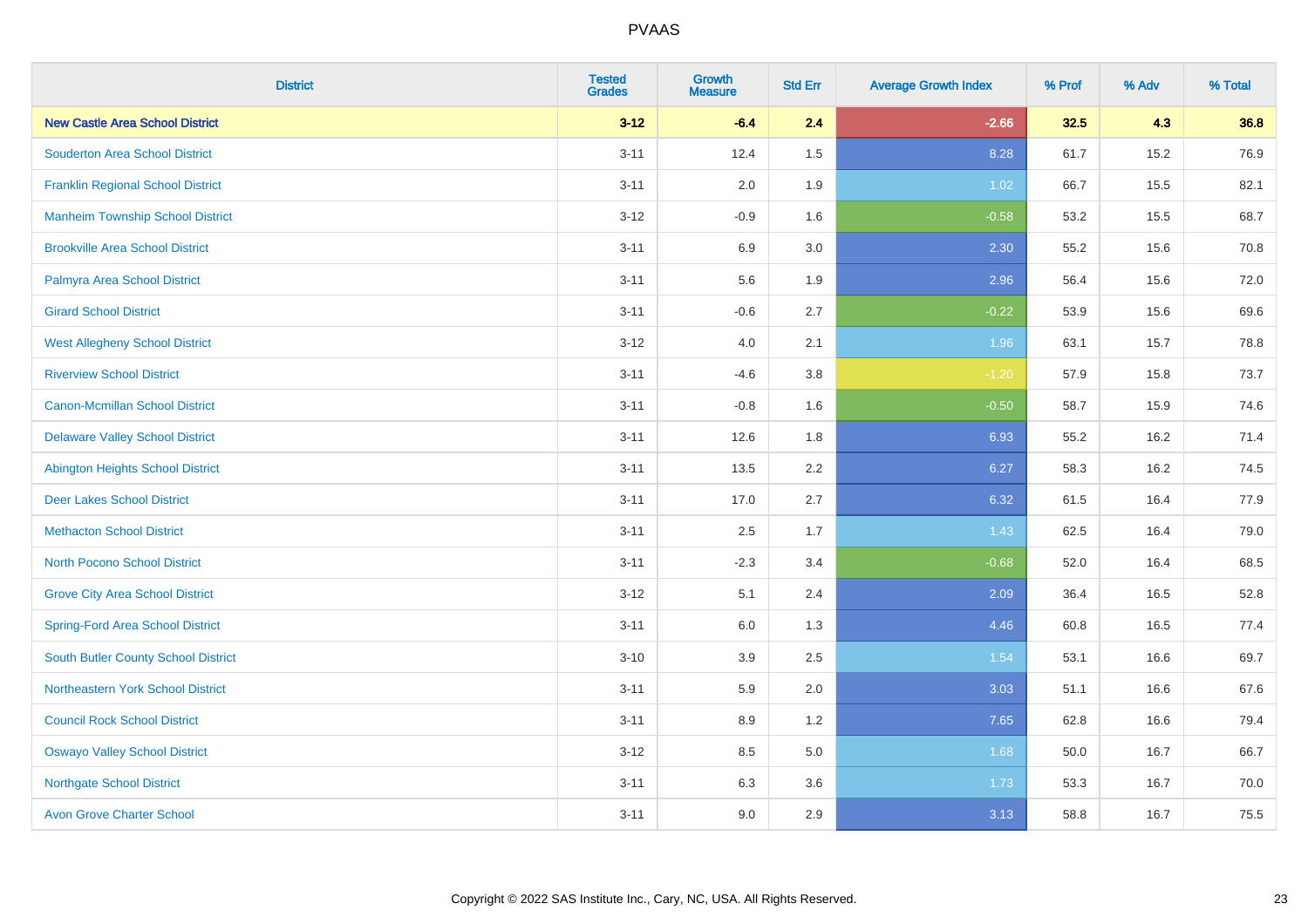| <b>District</b>                            | <b>Tested</b><br><b>Grades</b> | <b>Growth</b><br><b>Measure</b> | <b>Std Err</b> | <b>Average Growth Index</b> | % Prof | % Adv | % Total |
|--------------------------------------------|--------------------------------|---------------------------------|----------------|-----------------------------|--------|-------|---------|
| <b>New Castle Area School District</b>     | $3 - 12$                       | $-6.4$                          | 2.4            | $-2.66$                     | 32.5   | 4.3   | 36.8    |
| <b>Souderton Area School District</b>      | $3 - 11$                       | 12.4                            | 1.5            | 8.28                        | 61.7   | 15.2  | 76.9    |
| <b>Franklin Regional School District</b>   | $3 - 11$                       | 2.0                             | 1.9            | 1.02                        | 66.7   | 15.5  | 82.1    |
| <b>Manheim Township School District</b>    | $3 - 12$                       | $-0.9$                          | 1.6            | $-0.58$                     | 53.2   | 15.5  | 68.7    |
| <b>Brookville Area School District</b>     | $3 - 11$                       | 6.9                             | 3.0            | 2.30                        | 55.2   | 15.6  | 70.8    |
| Palmyra Area School District               | $3 - 11$                       | 5.6                             | 1.9            | 2.96                        | 56.4   | 15.6  | 72.0    |
| <b>Girard School District</b>              | $3 - 11$                       | $-0.6$                          | 2.7            | $-0.22$                     | 53.9   | 15.6  | 69.6    |
| <b>West Allegheny School District</b>      | $3 - 12$                       | 4.0                             | 2.1            | 1.96                        | 63.1   | 15.7  | 78.8    |
| <b>Riverview School District</b>           | $3 - 11$                       | $-4.6$                          | 3.8            | $-1.20$                     | 57.9   | 15.8  | 73.7    |
| <b>Canon-Mcmillan School District</b>      | $3 - 11$                       | $-0.8$                          | 1.6            | $-0.50$                     | 58.7   | 15.9  | 74.6    |
| <b>Delaware Valley School District</b>     | $3 - 11$                       | 12.6                            | 1.8            | 6.93                        | 55.2   | 16.2  | 71.4    |
| <b>Abington Heights School District</b>    | $3 - 11$                       | 13.5                            | 2.2            | 6.27                        | 58.3   | 16.2  | 74.5    |
| <b>Deer Lakes School District</b>          | $3 - 11$                       | 17.0                            | 2.7            | 6.32                        | 61.5   | 16.4  | 77.9    |
| <b>Methacton School District</b>           | $3 - 11$                       | 2.5                             | 1.7            | 1.43                        | 62.5   | 16.4  | 79.0    |
| <b>North Pocono School District</b>        | $3 - 11$                       | $-2.3$                          | 3.4            | $-0.68$                     | 52.0   | 16.4  | 68.5    |
| <b>Grove City Area School District</b>     | $3 - 12$                       | 5.1                             | 2.4            | 2.09                        | 36.4   | 16.5  | 52.8    |
| <b>Spring-Ford Area School District</b>    | $3 - 11$                       | 6.0                             | 1.3            | 4.46                        | 60.8   | 16.5  | 77.4    |
| <b>South Butler County School District</b> | $3 - 10$                       | 3.9                             | 2.5            | 1.54                        | 53.1   | 16.6  | 69.7    |
| Northeastern York School District          | $3 - 11$                       | 5.9                             | 2.0            | 3.03                        | 51.1   | 16.6  | 67.6    |
| <b>Council Rock School District</b>        | $3 - 11$                       | 8.9                             | 1.2            | 7.65                        | 62.8   | 16.6  | 79.4    |
| <b>Oswayo Valley School District</b>       | $3 - 12$                       | 8.5                             | 5.0            | 1.68                        | 50.0   | 16.7  | 66.7    |
| <b>Northgate School District</b>           | $3 - 11$                       | 6.3                             | 3.6            | 1.73                        | 53.3   | 16.7  | 70.0    |
| <b>Avon Grove Charter School</b>           | $3 - 11$                       | 9.0                             | 2.9            | 3.13                        | 58.8   | 16.7  | 75.5    |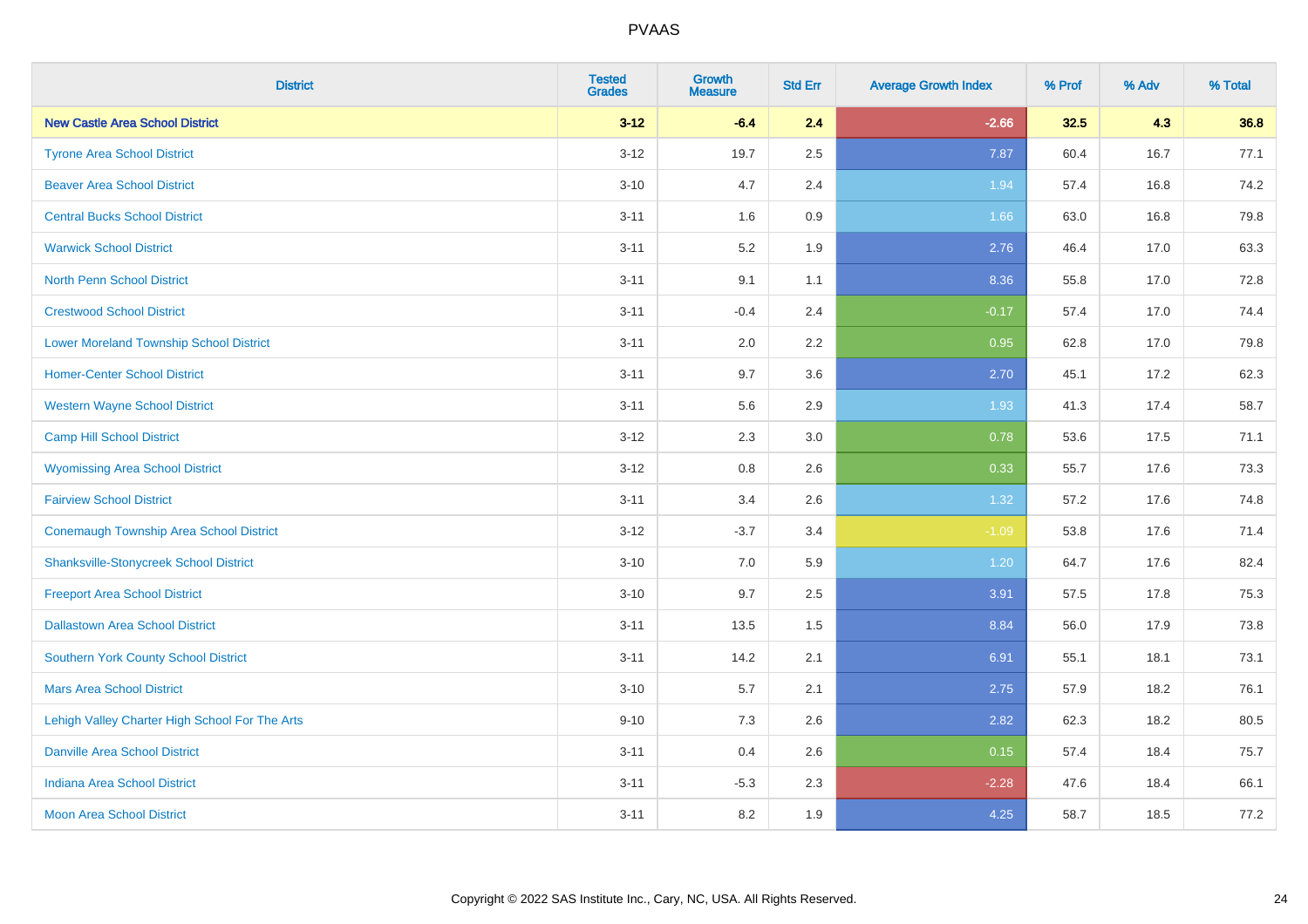| <b>District</b>                                | <b>Tested</b><br><b>Grades</b> | <b>Growth</b><br><b>Measure</b> | <b>Std Err</b> | <b>Average Growth Index</b> | % Prof | % Adv | % Total |
|------------------------------------------------|--------------------------------|---------------------------------|----------------|-----------------------------|--------|-------|---------|
| <b>New Castle Area School District</b>         | $3 - 12$                       | $-6.4$                          | 2.4            | $-2.66$                     | 32.5   | 4.3   | 36.8    |
| <b>Tyrone Area School District</b>             | $3 - 12$                       | 19.7                            | 2.5            | 7.87                        | 60.4   | 16.7  | 77.1    |
| <b>Beaver Area School District</b>             | $3 - 10$                       | 4.7                             | 2.4            | 1.94                        | 57.4   | 16.8  | 74.2    |
| <b>Central Bucks School District</b>           | $3 - 11$                       | 1.6                             | 0.9            | 1.66                        | 63.0   | 16.8  | 79.8    |
| <b>Warwick School District</b>                 | $3 - 11$                       | 5.2                             | 1.9            | 2.76                        | 46.4   | 17.0  | 63.3    |
| <b>North Penn School District</b>              | $3 - 11$                       | 9.1                             | 1.1            | 8.36                        | 55.8   | 17.0  | 72.8    |
| <b>Crestwood School District</b>               | $3 - 11$                       | $-0.4$                          | 2.4            | $-0.17$                     | 57.4   | 17.0  | 74.4    |
| <b>Lower Moreland Township School District</b> | $3 - 11$                       | 2.0                             | 2.2            | 0.95                        | 62.8   | 17.0  | 79.8    |
| <b>Homer-Center School District</b>            | $3 - 11$                       | 9.7                             | 3.6            | 2.70                        | 45.1   | 17.2  | 62.3    |
| <b>Western Wayne School District</b>           | $3 - 11$                       | 5.6                             | 2.9            | 1.93                        | 41.3   | 17.4  | 58.7    |
| <b>Camp Hill School District</b>               | $3 - 12$                       | 2.3                             | 3.0            | 0.78                        | 53.6   | 17.5  | 71.1    |
| <b>Wyomissing Area School District</b>         | $3 - 12$                       | 0.8                             | 2.6            | 0.33                        | 55.7   | 17.6  | 73.3    |
| <b>Fairview School District</b>                | $3 - 11$                       | 3.4                             | 2.6            | 1.32                        | 57.2   | 17.6  | 74.8    |
| <b>Conemaugh Township Area School District</b> | $3 - 12$                       | $-3.7$                          | 3.4            | $-1.09$                     | 53.8   | 17.6  | 71.4    |
| <b>Shanksville-Stonycreek School District</b>  | $3 - 10$                       | 7.0                             | 5.9            | 1.20                        | 64.7   | 17.6  | 82.4    |
| <b>Freeport Area School District</b>           | $3 - 10$                       | 9.7                             | 2.5            | 3.91                        | 57.5   | 17.8  | 75.3    |
| <b>Dallastown Area School District</b>         | $3 - 11$                       | 13.5                            | 1.5            | 8.84                        | 56.0   | 17.9  | 73.8    |
| Southern York County School District           | $3 - 11$                       | 14.2                            | 2.1            | 6.91                        | 55.1   | 18.1  | 73.1    |
| <b>Mars Area School District</b>               | $3 - 10$                       | 5.7                             | 2.1            | 2.75                        | 57.9   | 18.2  | 76.1    |
| Lehigh Valley Charter High School For The Arts | $9 - 10$                       | 7.3                             | 2.6            | 2.82                        | 62.3   | 18.2  | 80.5    |
| <b>Danville Area School District</b>           | $3 - 11$                       | 0.4                             | 2.6            | 0.15                        | 57.4   | 18.4  | 75.7    |
| <b>Indiana Area School District</b>            | $3 - 11$                       | $-5.3$                          | 2.3            | $-2.28$                     | 47.6   | 18.4  | 66.1    |
| <b>Moon Area School District</b>               | $3 - 11$                       | 8.2                             | 1.9            | 4.25                        | 58.7   | 18.5  | 77.2    |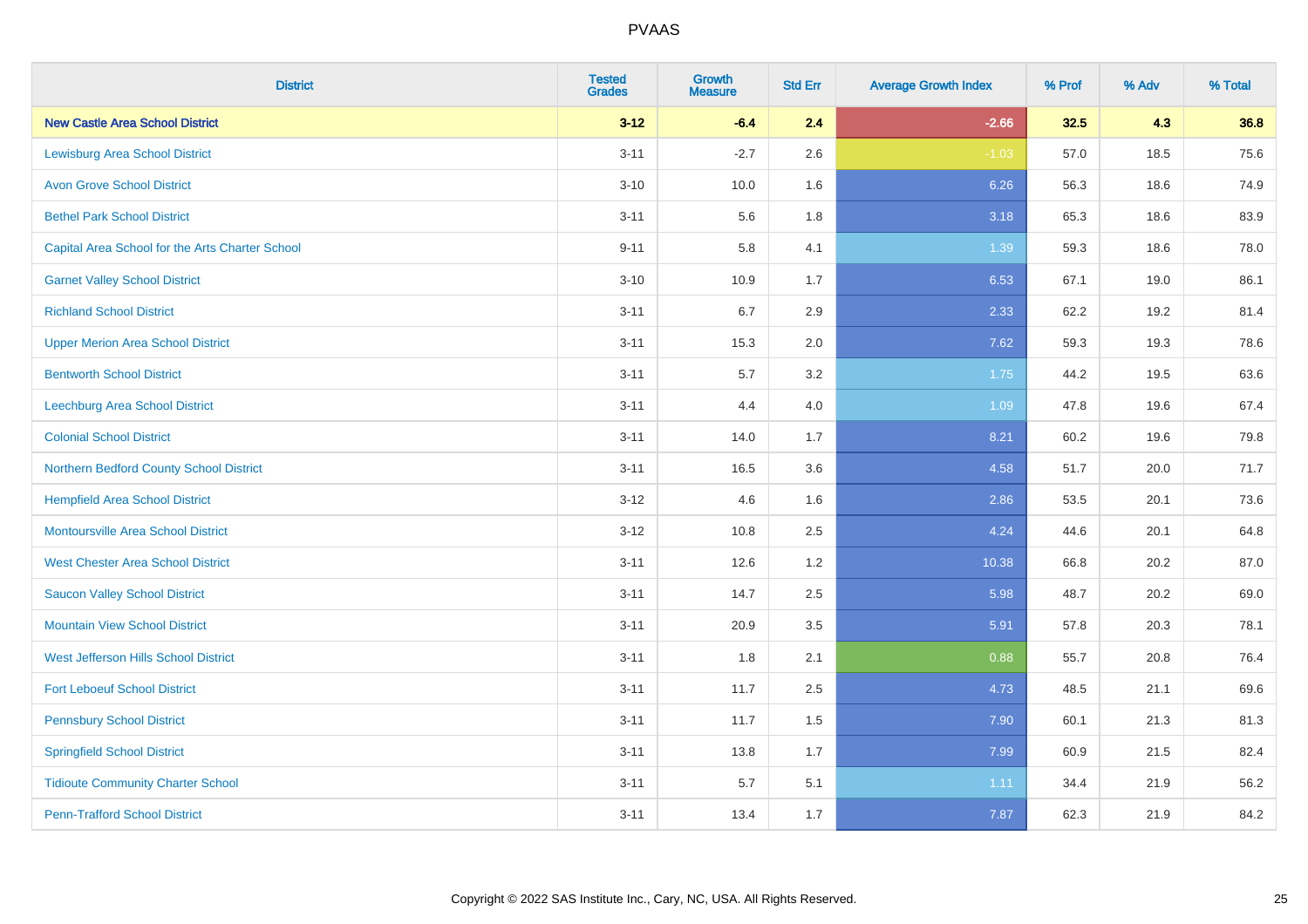| <b>District</b>                                 | <b>Tested</b><br><b>Grades</b> | <b>Growth</b><br><b>Measure</b> | <b>Std Err</b> | <b>Average Growth Index</b> | % Prof | % Adv | % Total |
|-------------------------------------------------|--------------------------------|---------------------------------|----------------|-----------------------------|--------|-------|---------|
| <b>New Castle Area School District</b>          | $3 - 12$                       | $-6.4$                          | 2.4            | $-2.66$                     | 32.5   | 4.3   | 36.8    |
| <b>Lewisburg Area School District</b>           | $3 - 11$                       | $-2.7$                          | 2.6            | $-1.03$                     | 57.0   | 18.5  | 75.6    |
| <b>Avon Grove School District</b>               | $3 - 10$                       | 10.0                            | 1.6            | 6.26                        | 56.3   | 18.6  | 74.9    |
| <b>Bethel Park School District</b>              | $3 - 11$                       | 5.6                             | 1.8            | 3.18                        | 65.3   | 18.6  | 83.9    |
| Capital Area School for the Arts Charter School | $9 - 11$                       | 5.8                             | 4.1            | 1.39                        | 59.3   | 18.6  | 78.0    |
| <b>Garnet Valley School District</b>            | $3 - 10$                       | 10.9                            | 1.7            | 6.53                        | 67.1   | 19.0  | 86.1    |
| <b>Richland School District</b>                 | $3 - 11$                       | 6.7                             | 2.9            | 2.33                        | 62.2   | 19.2  | 81.4    |
| <b>Upper Merion Area School District</b>        | $3 - 11$                       | 15.3                            | 2.0            | 7.62                        | 59.3   | 19.3  | 78.6    |
| <b>Bentworth School District</b>                | $3 - 11$                       | 5.7                             | 3.2            | 1.75                        | 44.2   | 19.5  | 63.6    |
| Leechburg Area School District                  | $3 - 11$                       | 4.4                             | 4.0            | 1.09                        | 47.8   | 19.6  | 67.4    |
| <b>Colonial School District</b>                 | $3 - 11$                       | 14.0                            | 1.7            | 8.21                        | 60.2   | 19.6  | 79.8    |
| Northern Bedford County School District         | $3 - 11$                       | 16.5                            | 3.6            | 4.58                        | 51.7   | 20.0  | 71.7    |
| <b>Hempfield Area School District</b>           | $3 - 12$                       | 4.6                             | 1.6            | 2.86                        | 53.5   | 20.1  | 73.6    |
| <b>Montoursville Area School District</b>       | $3-12$                         | 10.8                            | 2.5            | 4.24                        | 44.6   | 20.1  | 64.8    |
| <b>West Chester Area School District</b>        | $3 - 11$                       | 12.6                            | 1.2            | 10.38                       | 66.8   | 20.2  | 87.0    |
| <b>Saucon Valley School District</b>            | $3 - 11$                       | 14.7                            | 2.5            | 5.98                        | 48.7   | 20.2  | 69.0    |
| <b>Mountain View School District</b>            | $3 - 11$                       | 20.9                            | 3.5            | 5.91                        | 57.8   | 20.3  | 78.1    |
| West Jefferson Hills School District            | $3 - 11$                       | 1.8                             | 2.1            | 0.88                        | 55.7   | 20.8  | 76.4    |
| <b>Fort Leboeuf School District</b>             | $3 - 11$                       | 11.7                            | 2.5            | 4.73                        | 48.5   | 21.1  | 69.6    |
| <b>Pennsbury School District</b>                | $3 - 11$                       | 11.7                            | 1.5            | 7.90                        | 60.1   | 21.3  | 81.3    |
| <b>Springfield School District</b>              | $3 - 11$                       | 13.8                            | 1.7            | 7.99                        | 60.9   | 21.5  | 82.4    |
| <b>Tidioute Community Charter School</b>        | $3 - 11$                       | 5.7                             | 5.1            | 1.11                        | 34.4   | 21.9  | 56.2    |
| <b>Penn-Trafford School District</b>            | $3 - 11$                       | 13.4                            | 1.7            | 7.87                        | 62.3   | 21.9  | 84.2    |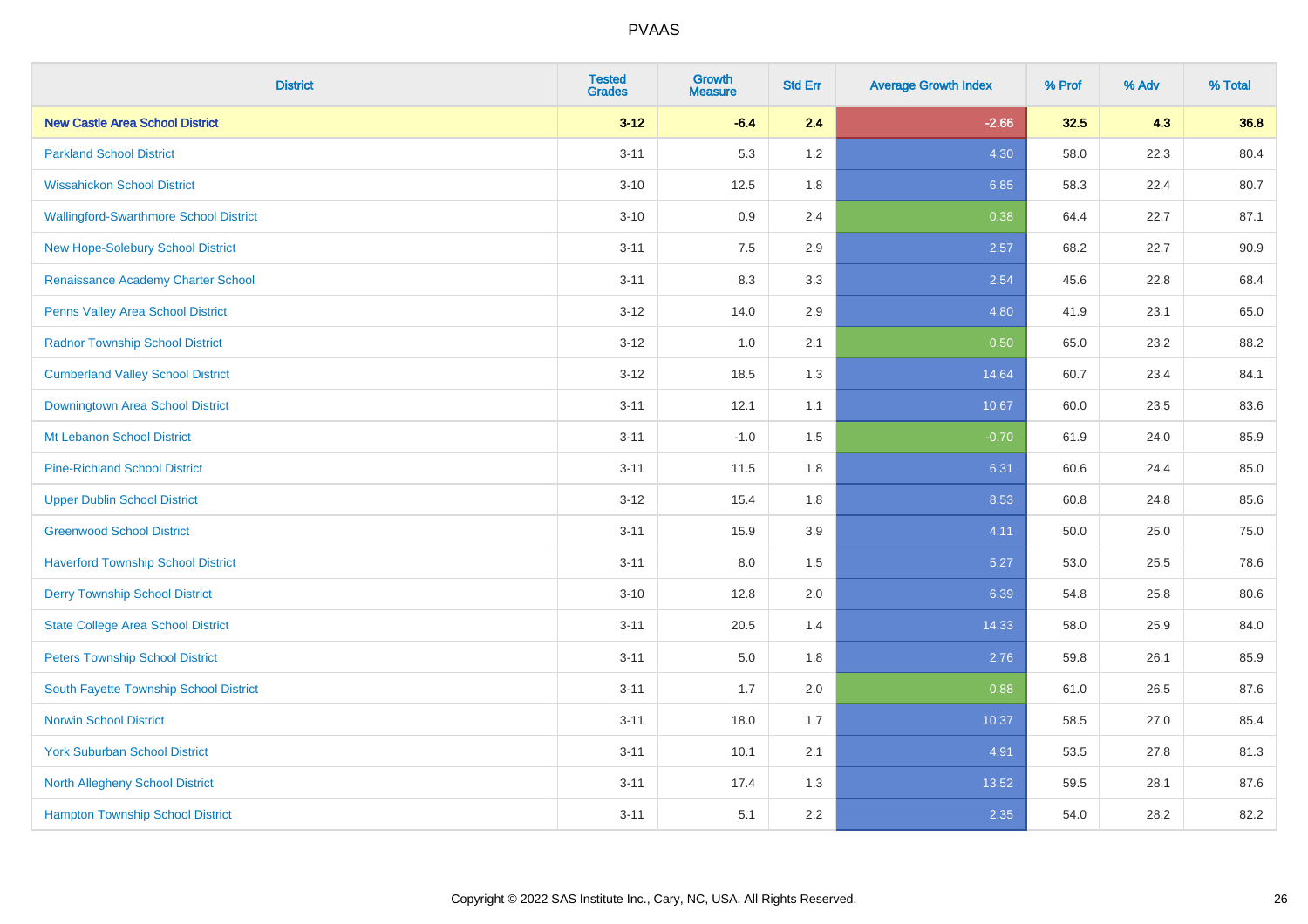| <b>District</b>                           | <b>Tested</b><br><b>Grades</b> | Growth<br><b>Measure</b> | <b>Std Err</b> | <b>Average Growth Index</b> | % Prof | % Adv | % Total |
|-------------------------------------------|--------------------------------|--------------------------|----------------|-----------------------------|--------|-------|---------|
| <b>New Castle Area School District</b>    | $3 - 12$                       | $-6.4$                   | 2.4            | $-2.66$                     | 32.5   | 4.3   | 36.8    |
| <b>Parkland School District</b>           | $3 - 11$                       | 5.3                      | 1.2            | 4.30                        | 58.0   | 22.3  | 80.4    |
| <b>Wissahickon School District</b>        | $3 - 10$                       | 12.5                     | 1.8            | 6.85                        | 58.3   | 22.4  | 80.7    |
| Wallingford-Swarthmore School District    | $3 - 10$                       | 0.9                      | 2.4            | 0.38                        | 64.4   | 22.7  | 87.1    |
| New Hope-Solebury School District         | $3 - 11$                       | 7.5                      | 2.9            | 2.57                        | 68.2   | 22.7  | 90.9    |
| Renaissance Academy Charter School        | $3 - 11$                       | 8.3                      | 3.3            | 2.54                        | 45.6   | 22.8  | 68.4    |
| Penns Valley Area School District         | $3 - 12$                       | 14.0                     | 2.9            | 4.80                        | 41.9   | 23.1  | 65.0    |
| <b>Radnor Township School District</b>    | $3 - 12$                       | 1.0                      | 2.1            | 0.50                        | 65.0   | 23.2  | 88.2    |
| <b>Cumberland Valley School District</b>  | $3 - 12$                       | 18.5                     | 1.3            | 14.64                       | 60.7   | 23.4  | 84.1    |
| Downingtown Area School District          | $3 - 11$                       | 12.1                     | 1.1            | 10.67                       | 60.0   | 23.5  | 83.6    |
| Mt Lebanon School District                | $3 - 11$                       | $-1.0$                   | 1.5            | $-0.70$                     | 61.9   | 24.0  | 85.9    |
| <b>Pine-Richland School District</b>      | $3 - 11$                       | 11.5                     | 1.8            | 6.31                        | 60.6   | 24.4  | 85.0    |
| <b>Upper Dublin School District</b>       | $3 - 12$                       | 15.4                     | 1.8            | 8.53                        | 60.8   | 24.8  | 85.6    |
| <b>Greenwood School District</b>          | $3 - 11$                       | 15.9                     | 3.9            | 4.11                        | 50.0   | 25.0  | 75.0    |
| <b>Haverford Township School District</b> | $3 - 11$                       | $8.0\,$                  | 1.5            | 5.27                        | 53.0   | 25.5  | 78.6    |
| <b>Derry Township School District</b>     | $3 - 10$                       | 12.8                     | 2.0            | 6.39                        | 54.8   | 25.8  | 80.6    |
| <b>State College Area School District</b> | $3 - 11$                       | 20.5                     | 1.4            | 14.33                       | 58.0   | 25.9  | 84.0    |
| <b>Peters Township School District</b>    | $3 - 11$                       | 5.0                      | 1.8            | 2.76                        | 59.8   | 26.1  | 85.9    |
| South Fayette Township School District    | $3 - 11$                       | 1.7                      | 2.0            | 0.88                        | 61.0   | 26.5  | 87.6    |
| <b>Norwin School District</b>             | $3 - 11$                       | 18.0                     | 1.7            | 10.37                       | 58.5   | 27.0  | 85.4    |
| <b>York Suburban School District</b>      | $3 - 11$                       | 10.1                     | 2.1            | 4.91                        | 53.5   | 27.8  | 81.3    |
| <b>North Allegheny School District</b>    | $3 - 11$                       | 17.4                     | 1.3            | 13.52                       | 59.5   | 28.1  | 87.6    |
| <b>Hampton Township School District</b>   | $3 - 11$                       | 5.1                      | 2.2            | 2.35                        | 54.0   | 28.2  | 82.2    |